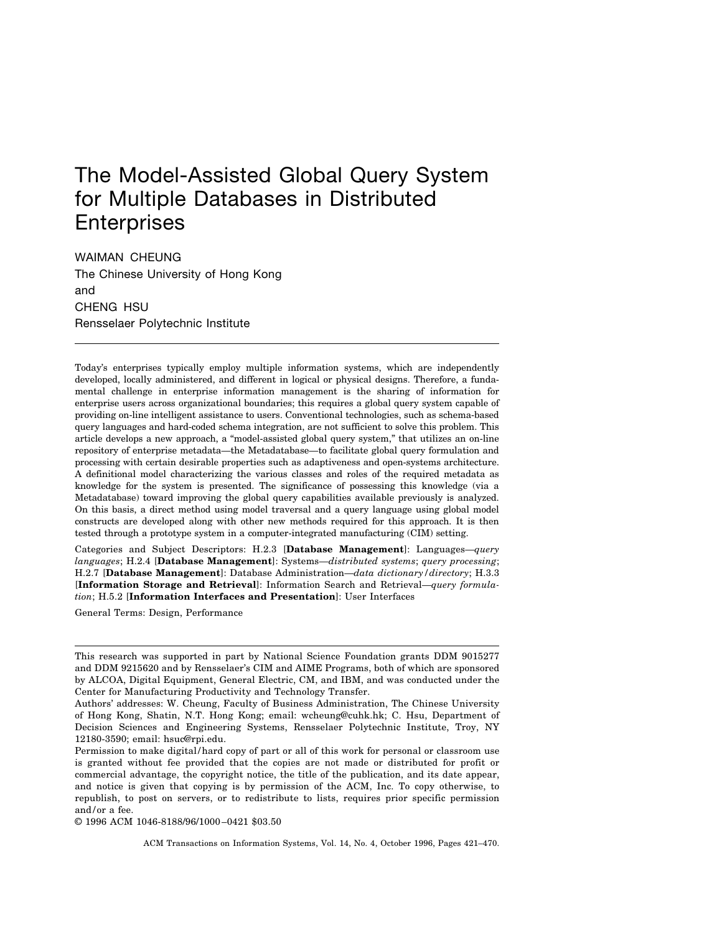# The Model-Assisted Global Query System for Multiple Databases in Distributed **Enterprises**

WAIMAN CHEUNG The Chinese University of Hong Kong and CHENG HSU Rensselaer Polytechnic Institute

Today's enterprises typically employ multiple information systems, which are independently developed, locally administered, and different in logical or physical designs. Therefore, a fundamental challenge in enterprise information management is the sharing of information for enterprise users across organizational boundaries; this requires a global query system capable of providing on-line intelligent assistance to users. Conventional technologies, such as schema-based query languages and hard-coded schema integration, are not sufficient to solve this problem. This article develops a new approach, a "model-assisted global query system," that utilizes an on-line repository of enterprise metadata—the Metadatabase—to facilitate global query formulation and processing with certain desirable properties such as adaptiveness and open-systems architecture. A definitional model characterizing the various classes and roles of the required metadata as knowledge for the system is presented. The significance of possessing this knowledge (via a Metadatabase) toward improving the global query capabilities available previously is analyzed. On this basis, a direct method using model traversal and a query language using global model constructs are developed along with other new methods required for this approach. It is then tested through a prototype system in a computer-integrated manufacturing (CIM) setting.

Categories and Subject Descriptors: H.2.3 [**Database Management**]: Languages—*query languages*; H.2.4 [**Database Management**]: Systems—*distributed systems*; *query processing*; H.2.7 [**Database Management**]: Database Administration—*data dictionary/directory*; H.3.3 [**Information Storage and Retrieval**]: Information Search and Retrieval—*query formulation*; H.5.2 [**Information Interfaces and Presentation**]: User Interfaces

General Terms: Design, Performance

© 1996 ACM 1046-8188/96/1000 –0421 \$03.50

This research was supported in part by National Science Foundation grants DDM 9015277 and DDM 9215620 and by Rensselaer's CIM and AIME Programs, both of which are sponsored by ALCOA, Digital Equipment, General Electric, CM, and IBM, and was conducted under the Center for Manufacturing Productivity and Technology Transfer.

Authors' addresses: W. Cheung, Faculty of Business Administration, The Chinese University of Hong Kong, Shatin, N.T. Hong Kong; email: wcheung@cuhk.hk; C. Hsu, Department of Decision Sciences and Engineering Systems, Rensselaer Polytechnic Institute, Troy, NY 12180-3590; email: hsuc@rpi.edu.

Permission to make digital/ hard copy of part or all of this work for personal or classroom use is granted without fee provided that the copies are not made or distributed for profit or commercial advantage, the copyright notice, the title of the publication, and its date appear, and notice is given that copying is by permission of the ACM, Inc. To copy otherwise, to republish, to post on servers, or to redistribute to lists, requires prior specific permission and/or a fee.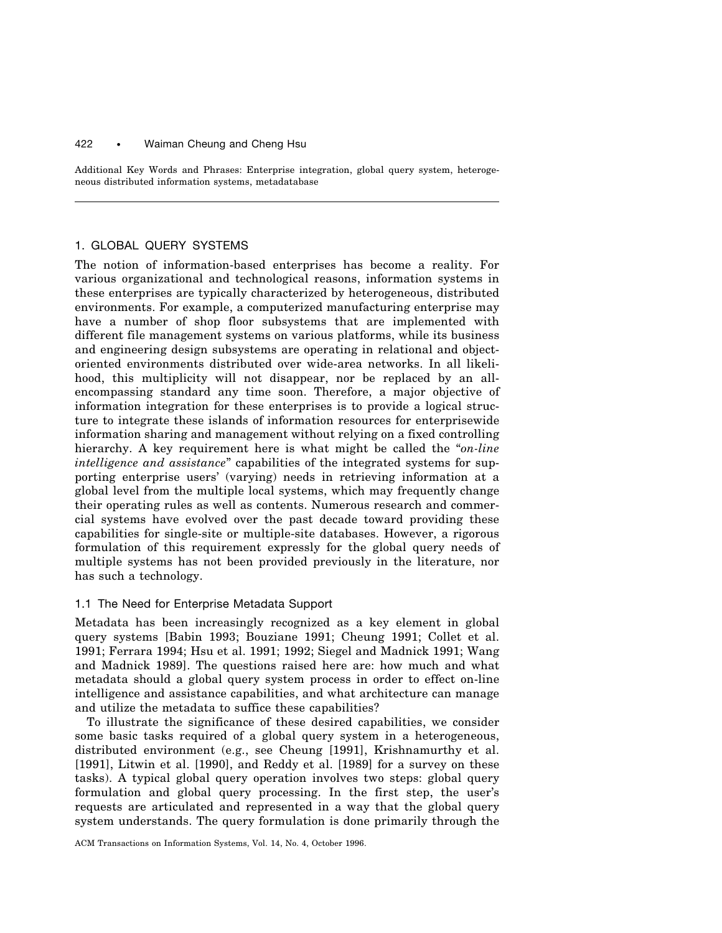Additional Key Words and Phrases: Enterprise integration, global query system, heterogeneous distributed information systems, metadatabase

## 1. GLOBAL QUERY SYSTEMS

The notion of information-based enterprises has become a reality. For various organizational and technological reasons, information systems in these enterprises are typically characterized by heterogeneous, distributed environments. For example, a computerized manufacturing enterprise may have a number of shop floor subsystems that are implemented with different file management systems on various platforms, while its business and engineering design subsystems are operating in relational and objectoriented environments distributed over wide-area networks. In all likelihood, this multiplicity will not disappear, nor be replaced by an allencompassing standard any time soon. Therefore, a major objective of information integration for these enterprises is to provide a logical structure to integrate these islands of information resources for enterprisewide information sharing and management without relying on a fixed controlling hierarchy. A key requirement here is what might be called the "*on-line intelligence and assistance*" capabilities of the integrated systems for supporting enterprise users' (varying) needs in retrieving information at a global level from the multiple local systems, which may frequently change their operating rules as well as contents. Numerous research and commercial systems have evolved over the past decade toward providing these capabilities for single-site or multiple-site databases. However, a rigorous formulation of this requirement expressly for the global query needs of multiple systems has not been provided previously in the literature, nor has such a technology.

## 1.1 The Need for Enterprise Metadata Support

Metadata has been increasingly recognized as a key element in global query systems [Babin 1993; Bouziane 1991; Cheung 1991; Collet et al. 1991; Ferrara 1994; Hsu et al. 1991; 1992; Siegel and Madnick 1991; Wang and Madnick 1989]. The questions raised here are: how much and what metadata should a global query system process in order to effect on-line intelligence and assistance capabilities, and what architecture can manage and utilize the metadata to suffice these capabilities?

To illustrate the significance of these desired capabilities, we consider some basic tasks required of a global query system in a heterogeneous, distributed environment (e.g., see Cheung [1991], Krishnamurthy et al. [1991], Litwin et al. [1990], and Reddy et al. [1989] for a survey on these tasks). A typical global query operation involves two steps: global query formulation and global query processing. In the first step, the user's requests are articulated and represented in a way that the global query system understands. The query formulation is done primarily through the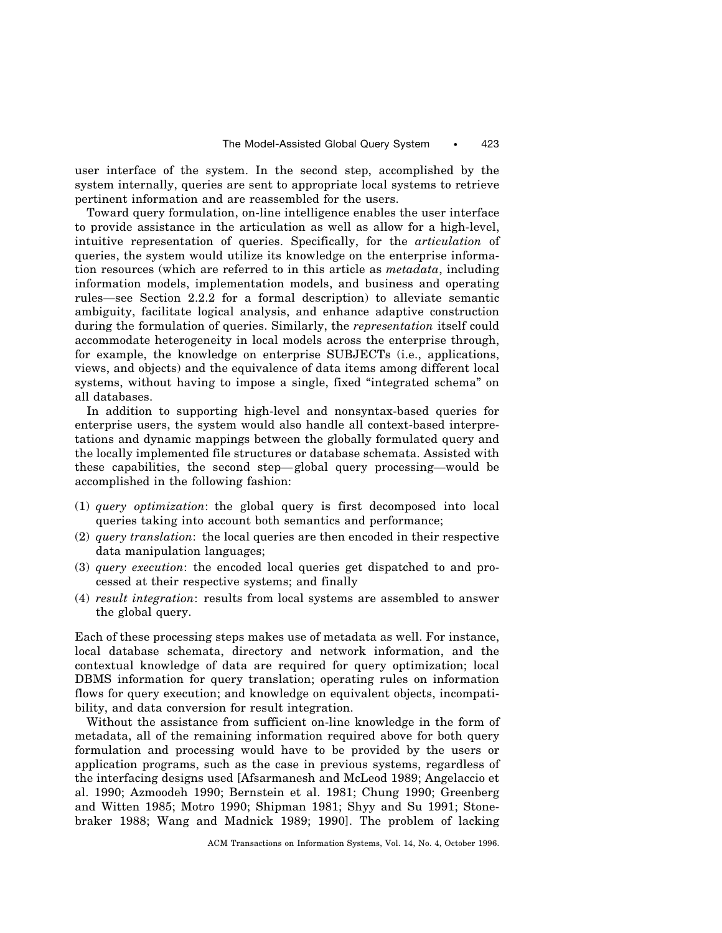user interface of the system. In the second step, accomplished by the system internally, queries are sent to appropriate local systems to retrieve pertinent information and are reassembled for the users.

Toward query formulation, on-line intelligence enables the user interface to provide assistance in the articulation as well as allow for a high-level, intuitive representation of queries. Specifically, for the *articulation* of queries, the system would utilize its knowledge on the enterprise information resources (which are referred to in this article as *metadata*, including information models, implementation models, and business and operating rules—see Section 2.2.2 for a formal description) to alleviate semantic ambiguity, facilitate logical analysis, and enhance adaptive construction during the formulation of queries. Similarly, the *representation* itself could accommodate heterogeneity in local models across the enterprise through, for example, the knowledge on enterprise SUBJECTs (i.e., applications, views, and objects) and the equivalence of data items among different local systems, without having to impose a single, fixed "integrated schema" on all databases.

In addition to supporting high-level and nonsyntax-based queries for enterprise users, the system would also handle all context-based interpretations and dynamic mappings between the globally formulated query and the locally implemented file structures or database schemata. Assisted with these capabilities, the second step— global query processing—would be accomplished in the following fashion:

- (1) *query optimization*: the global query is first decomposed into local queries taking into account both semantics and performance;
- (2) *query translation*: the local queries are then encoded in their respective data manipulation languages;
- (3) *query execution*: the encoded local queries get dispatched to and processed at their respective systems; and finally
- (4) *result integration*: results from local systems are assembled to answer the global query.

Each of these processing steps makes use of metadata as well. For instance, local database schemata, directory and network information, and the contextual knowledge of data are required for query optimization; local DBMS information for query translation; operating rules on information flows for query execution; and knowledge on equivalent objects, incompatibility, and data conversion for result integration.

Without the assistance from sufficient on-line knowledge in the form of metadata, all of the remaining information required above for both query formulation and processing would have to be provided by the users or application programs, such as the case in previous systems, regardless of the interfacing designs used [Afsarmanesh and McLeod 1989; Angelaccio et al. 1990; Azmoodeh 1990; Bernstein et al. 1981; Chung 1990; Greenberg and Witten 1985; Motro 1990; Shipman 1981; Shyy and Su 1991; Stonebraker 1988; Wang and Madnick 1989; 1990]. The problem of lacking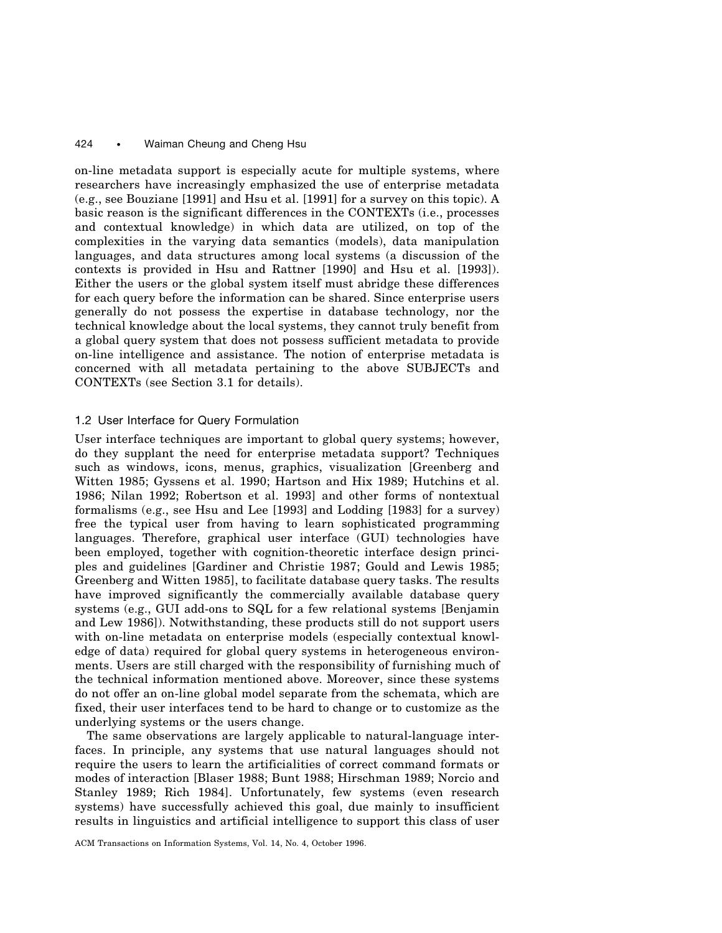on-line metadata support is especially acute for multiple systems, where researchers have increasingly emphasized the use of enterprise metadata (e.g., see Bouziane [1991] and Hsu et al. [1991] for a survey on this topic). A basic reason is the significant differences in the CONTEXTs (i.e., processes and contextual knowledge) in which data are utilized, on top of the complexities in the varying data semantics (models), data manipulation languages, and data structures among local systems (a discussion of the contexts is provided in Hsu and Rattner [1990] and Hsu et al. [1993]). Either the users or the global system itself must abridge these differences for each query before the information can be shared. Since enterprise users generally do not possess the expertise in database technology, nor the technical knowledge about the local systems, they cannot truly benefit from a global query system that does not possess sufficient metadata to provide on-line intelligence and assistance. The notion of enterprise metadata is concerned with all metadata pertaining to the above SUBJECTs and CONTEXTs (see Section 3.1 for details).

## 1.2 User Interface for Query Formulation

User interface techniques are important to global query systems; however, do they supplant the need for enterprise metadata support? Techniques such as windows, icons, menus, graphics, visualization [Greenberg and Witten 1985; Gyssens et al. 1990; Hartson and Hix 1989; Hutchins et al. 1986; Nilan 1992; Robertson et al. 1993] and other forms of nontextual formalisms (e.g., see Hsu and Lee [1993] and Lodding [1983] for a survey) free the typical user from having to learn sophisticated programming languages. Therefore, graphical user interface (GUI) technologies have been employed, together with cognition-theoretic interface design principles and guidelines [Gardiner and Christie 1987; Gould and Lewis 1985; Greenberg and Witten 1985], to facilitate database query tasks. The results have improved significantly the commercially available database query systems (e.g., GUI add-ons to SQL for a few relational systems [Benjamin and Lew 1986]). Notwithstanding, these products still do not support users with on-line metadata on enterprise models (especially contextual knowledge of data) required for global query systems in heterogeneous environments. Users are still charged with the responsibility of furnishing much of the technical information mentioned above. Moreover, since these systems do not offer an on-line global model separate from the schemata, which are fixed, their user interfaces tend to be hard to change or to customize as the underlying systems or the users change.

The same observations are largely applicable to natural-language interfaces. In principle, any systems that use natural languages should not require the users to learn the artificialities of correct command formats or modes of interaction [Blaser 1988; Bunt 1988; Hirschman 1989; Norcio and Stanley 1989; Rich 1984]. Unfortunately, few systems (even research systems) have successfully achieved this goal, due mainly to insufficient results in linguistics and artificial intelligence to support this class of user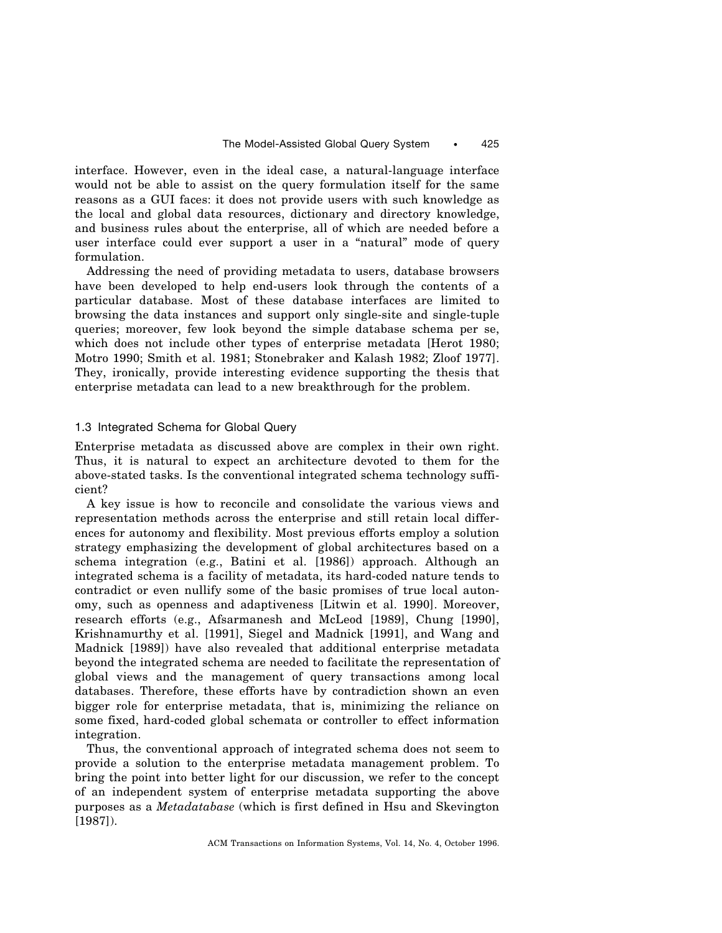interface. However, even in the ideal case, a natural-language interface would not be able to assist on the query formulation itself for the same reasons as a GUI faces: it does not provide users with such knowledge as the local and global data resources, dictionary and directory knowledge, and business rules about the enterprise, all of which are needed before a user interface could ever support a user in a "natural" mode of query formulation.

Addressing the need of providing metadata to users, database browsers have been developed to help end-users look through the contents of a particular database. Most of these database interfaces are limited to browsing the data instances and support only single-site and single-tuple queries; moreover, few look beyond the simple database schema per se, which does not include other types of enterprise metadata [Herot 1980; Motro 1990; Smith et al. 1981; Stonebraker and Kalash 1982; Zloof 1977]. They, ironically, provide interesting evidence supporting the thesis that enterprise metadata can lead to a new breakthrough for the problem.

## 1.3 Integrated Schema for Global Query

Enterprise metadata as discussed above are complex in their own right. Thus, it is natural to expect an architecture devoted to them for the above-stated tasks. Is the conventional integrated schema technology sufficient?

A key issue is how to reconcile and consolidate the various views and representation methods across the enterprise and still retain local differences for autonomy and flexibility. Most previous efforts employ a solution strategy emphasizing the development of global architectures based on a schema integration (e.g., Batini et al. [1986]) approach. Although an integrated schema is a facility of metadata, its hard-coded nature tends to contradict or even nullify some of the basic promises of true local autonomy, such as openness and adaptiveness [Litwin et al. 1990]. Moreover, research efforts (e.g., Afsarmanesh and McLeod [1989], Chung [1990], Krishnamurthy et al. [1991], Siegel and Madnick [1991], and Wang and Madnick [1989]) have also revealed that additional enterprise metadata beyond the integrated schema are needed to facilitate the representation of global views and the management of query transactions among local databases. Therefore, these efforts have by contradiction shown an even bigger role for enterprise metadata, that is, minimizing the reliance on some fixed, hard-coded global schemata or controller to effect information integration.

Thus, the conventional approach of integrated schema does not seem to provide a solution to the enterprise metadata management problem. To bring the point into better light for our discussion, we refer to the concept of an independent system of enterprise metadata supporting the above purposes as a *Metadatabase* (which is first defined in Hsu and Skevington [1987]).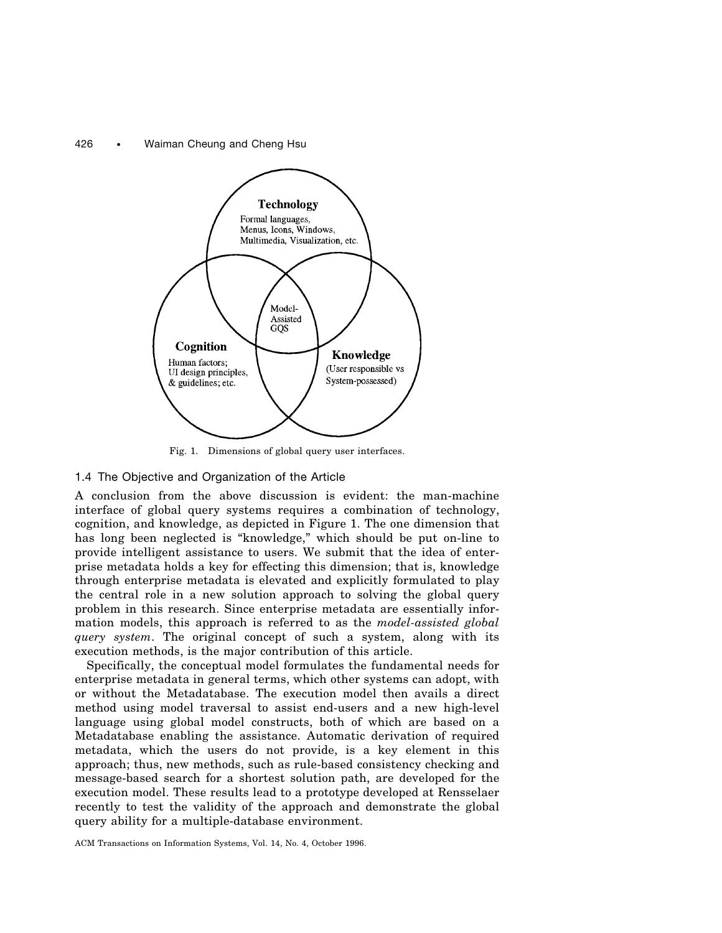

Fig. 1. Dimensions of global query user interfaces.

#### 1.4 The Objective and Organization of the Article

A conclusion from the above discussion is evident: the man-machine interface of global query systems requires a combination of technology, cognition, and knowledge, as depicted in Figure 1. The one dimension that has long been neglected is "knowledge," which should be put on-line to provide intelligent assistance to users. We submit that the idea of enterprise metadata holds a key for effecting this dimension; that is, knowledge through enterprise metadata is elevated and explicitly formulated to play the central role in a new solution approach to solving the global query problem in this research. Since enterprise metadata are essentially information models, this approach is referred to as the *model-assisted global query system*. The original concept of such a system, along with its execution methods, is the major contribution of this article.

Specifically, the conceptual model formulates the fundamental needs for enterprise metadata in general terms, which other systems can adopt, with or without the Metadatabase. The execution model then avails a direct method using model traversal to assist end-users and a new high-level language using global model constructs, both of which are based on a Metadatabase enabling the assistance. Automatic derivation of required metadata, which the users do not provide, is a key element in this approach; thus, new methods, such as rule-based consistency checking and message-based search for a shortest solution path, are developed for the execution model. These results lead to a prototype developed at Rensselaer recently to test the validity of the approach and demonstrate the global query ability for a multiple-database environment.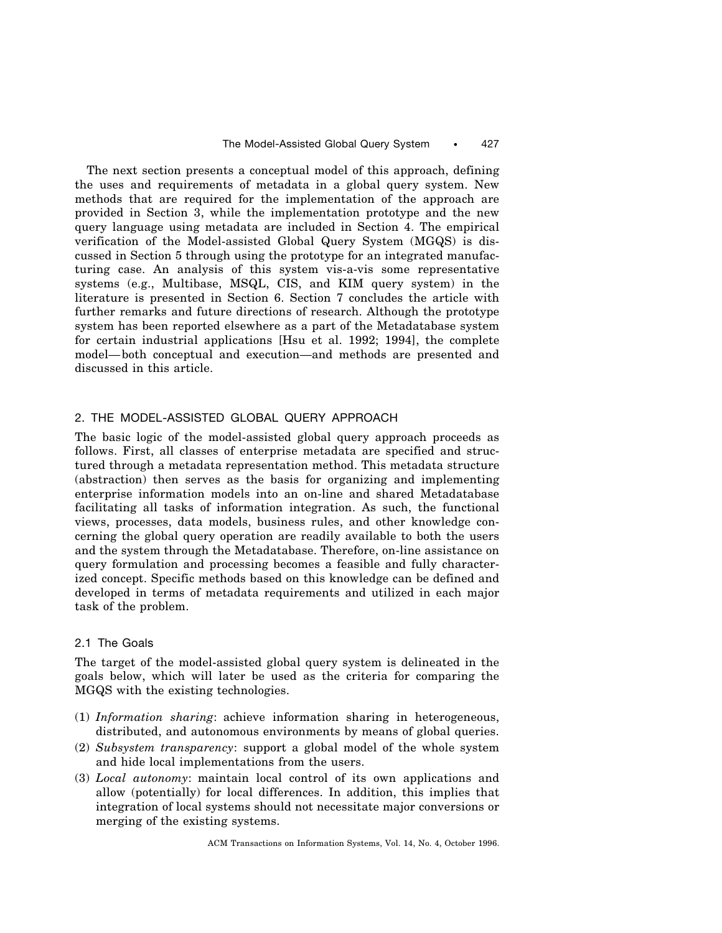The next section presents a conceptual model of this approach, defining the uses and requirements of metadata in a global query system. New methods that are required for the implementation of the approach are provided in Section 3, while the implementation prototype and the new query language using metadata are included in Section 4. The empirical verification of the Model-assisted Global Query System (MGQS) is discussed in Section 5 through using the prototype for an integrated manufacturing case. An analysis of this system vis-a-vis some representative systems (e.g., Multibase, MSQL, CIS, and KIM query system) in the literature is presented in Section 6. Section 7 concludes the article with further remarks and future directions of research. Although the prototype system has been reported elsewhere as a part of the Metadatabase system for certain industrial applications [Hsu et al. 1992; 1994], the complete model— both conceptual and execution—and methods are presented and discussed in this article.

## 2. THE MODEL-ASSISTED GLOBAL QUERY APPROACH

The basic logic of the model-assisted global query approach proceeds as follows. First, all classes of enterprise metadata are specified and structured through a metadata representation method. This metadata structure (abstraction) then serves as the basis for organizing and implementing enterprise information models into an on-line and shared Metadatabase facilitating all tasks of information integration. As such, the functional views, processes, data models, business rules, and other knowledge concerning the global query operation are readily available to both the users and the system through the Metadatabase. Therefore, on-line assistance on query formulation and processing becomes a feasible and fully characterized concept. Specific methods based on this knowledge can be defined and developed in terms of metadata requirements and utilized in each major task of the problem.

#### 2.1 The Goals

The target of the model-assisted global query system is delineated in the goals below, which will later be used as the criteria for comparing the MGQS with the existing technologies.

- (1) *Information sharing*: achieve information sharing in heterogeneous, distributed, and autonomous environments by means of global queries.
- (2) *Subsystem transparency*: support a global model of the whole system and hide local implementations from the users.
- (3) *Local autonomy*: maintain local control of its own applications and allow (potentially) for local differences. In addition, this implies that integration of local systems should not necessitate major conversions or merging of the existing systems.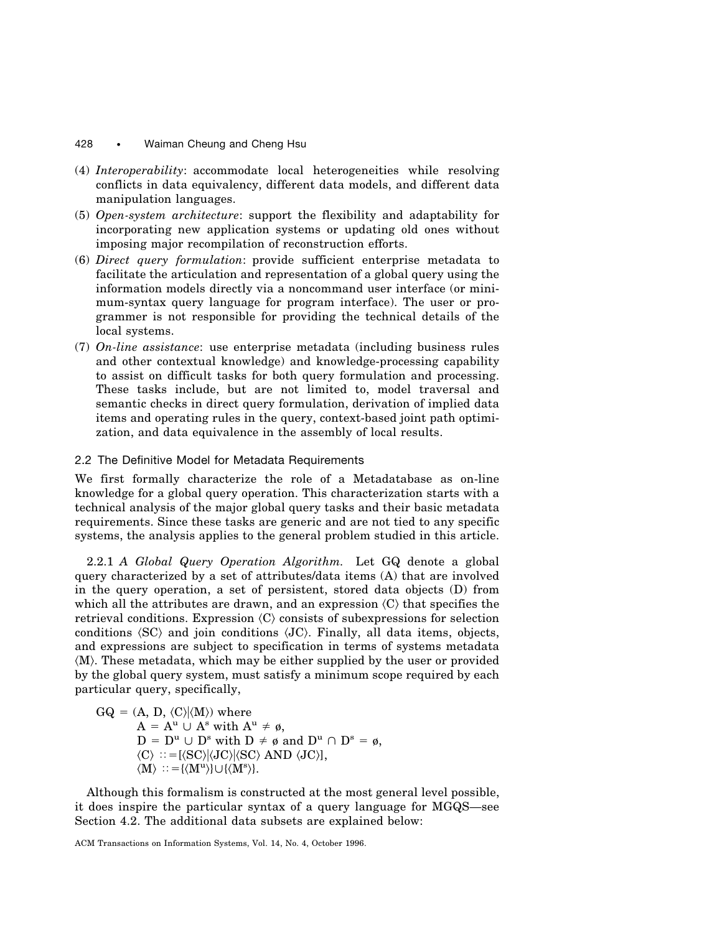- (4) *Interoperability*: accommodate local heterogeneities while resolving conflicts in data equivalency, different data models, and different data manipulation languages.
- (5) *Open-system architecture*: support the flexibility and adaptability for incorporating new application systems or updating old ones without imposing major recompilation of reconstruction efforts.
- (6) *Direct query formulation*: provide sufficient enterprise metadata to facilitate the articulation and representation of a global query using the information models directly via a noncommand user interface (or minimum-syntax query language for program interface). The user or programmer is not responsible for providing the technical details of the local systems.
- (7) *On-line assistance*: use enterprise metadata (including business rules and other contextual knowledge) and knowledge-processing capability to assist on difficult tasks for both query formulation and processing. These tasks include, but are not limited to, model traversal and semantic checks in direct query formulation, derivation of implied data items and operating rules in the query, context-based joint path optimization, and data equivalence in the assembly of local results.

## 2.2 The Definitive Model for Metadata Requirements

We first formally characterize the role of a Metadatabase as on-line knowledge for a global query operation. This characterization starts with a technical analysis of the major global query tasks and their basic metadata requirements. Since these tasks are generic and are not tied to any specific systems, the analysis applies to the general problem studied in this article.

2.2.1 *A Global Query Operation Algorithm.* Let GQ denote a global query characterized by a set of attributes/data items (A) that are involved in the query operation, a set of persistent, stored data objects (D) from which all the attributes are drawn, and an expression  $\langle C \rangle$  that specifies the retrieval conditions. Expression  $\langle C \rangle$  consists of subexpressions for selection conditions  $\langle SC \rangle$  and join conditions  $\langle JC \rangle$ . Finally, all data items, objects, and expressions are subject to specification in terms of systems metadata  $\langle M \rangle$ . These metadata, which may be either supplied by the user or provided by the global query system, must satisfy a minimum scope required by each particular query, specifically,

 $GQ = (A, D, \langle C \rangle | \langle M \rangle)$  where  $A = A^u \cup A^s$  with  $A^u \neq \emptyset$ ,  $D = D^u \cup D^s$  with  $D \neq \emptyset$  and  $D^u \cap D^s = \emptyset$ ,  $\langle C \rangle$  ::=[ $\langle SC \rangle$ | $\langle JC \rangle$ | $\langle SC \rangle$  AND  $\langle JC \rangle$ ],  $\langle M \rangle$  ::={ $\langle M^{\rm u} \rangle$ } $\cup$ { $\langle M^{\rm s} \rangle$ }.

Although this formalism is constructed at the most general level possible, it does inspire the particular syntax of a query language for MGQS—see Section 4.2. The additional data subsets are explained below: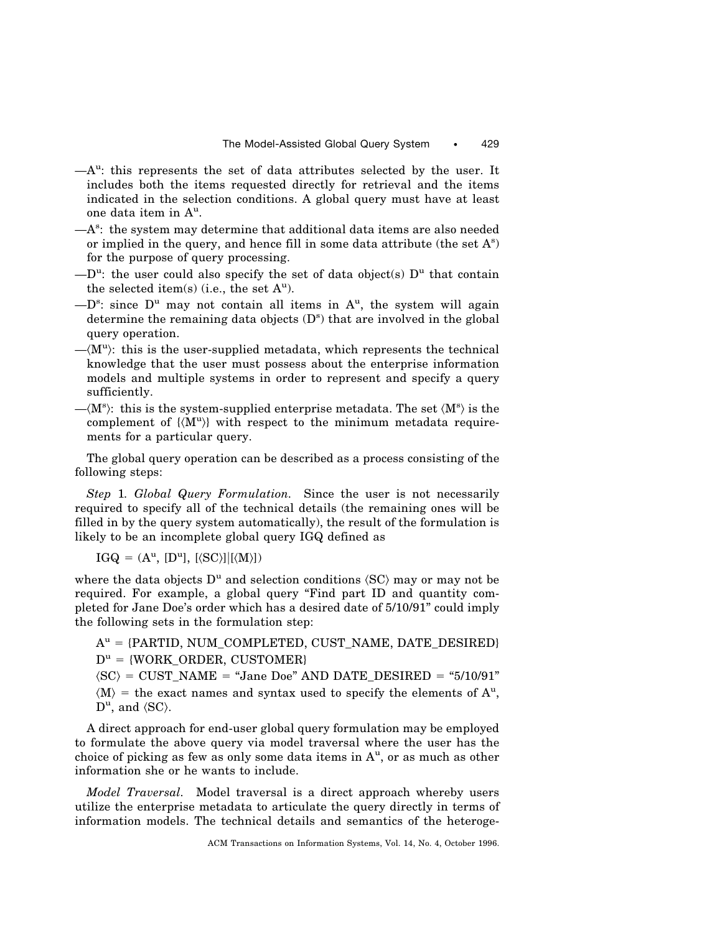- $-A<sup>u</sup>$ : this represents the set of data attributes selected by the user. It includes both the items requested directly for retrieval and the items indicated in the selection conditions. A global query must have at least one data item in A<sup>u</sup>.
- $-A<sup>s</sup>$ : the system may determine that additional data items are also needed or implied in the query, and hence fill in some data attribute (the set  $A^s$ ) for the purpose of query processing.
- $-D^u$ : the user could also specify the set of data object(s)  $D^u$  that contain the selected item(s) (i.e., the set  $A<sup>u</sup>$ ).
- $-D^s$ : since  $D^u$  may not contain all items in  $A^u$ , the system will again determine the remaining data objects  $(D<sup>s</sup>)$  that are involved in the global query operation.
- $-\langle M^u \rangle$ : this is the user-supplied metadata, which represents the technical knowledge that the user must possess about the enterprise information models and multiple systems in order to represent and specify a query sufficiently.
- $-\langle M^s \rangle$ : this is the system-supplied enterprise metadata. The set  $\langle M^s \rangle$  is the complement of  $\langle \langle M^u \rangle \rangle$  with respect to the minimum metadata requirements for a particular query.

The global query operation can be described as a process consisting of the following steps:

*Step* 1*. Global Query Formulation.* Since the user is not necessarily required to specify all of the technical details (the remaining ones will be filled in by the query system automatically), the result of the formulation is likely to be an incomplete global query IGQ defined as

 $IGQ = (A^u, [D^u], [\langle SC \rangle] | [\langle M \rangle])$ 

where the data objects  $D^u$  and selection conditions  $\langle SC \rangle$  may or may not be required. For example, a global query "Find part ID and quantity completed for Jane Doe's order which has a desired date of 5/10/91" could imply the following sets in the formulation step:

 $A<sup>u</sup> = {PARTID, NUM\_COMPLETED, CUST\_NAME, DATE\_DESIRED}$  $D^u = \{WORK\_ORDER, CUSTOMER\}$ 

 $\langle SC \rangle = CUST$  NAME = "Jane Doe" AND DATE DESIRED = "5/10/91"

 $\langle M \rangle$  = the exact names and syntax used to specify the elements of  $A^u$ ,  $D^u$ , and  $\langle SC \rangle$ .

A direct approach for end-user global query formulation may be employed to formulate the above query via model traversal where the user has the choice of picking as few as only some data items in  $A<sup>u</sup>$ , or as much as other information she or he wants to include.

*Model Traversal.* Model traversal is a direct approach whereby users utilize the enterprise metadata to articulate the query directly in terms of information models. The technical details and semantics of the heteroge-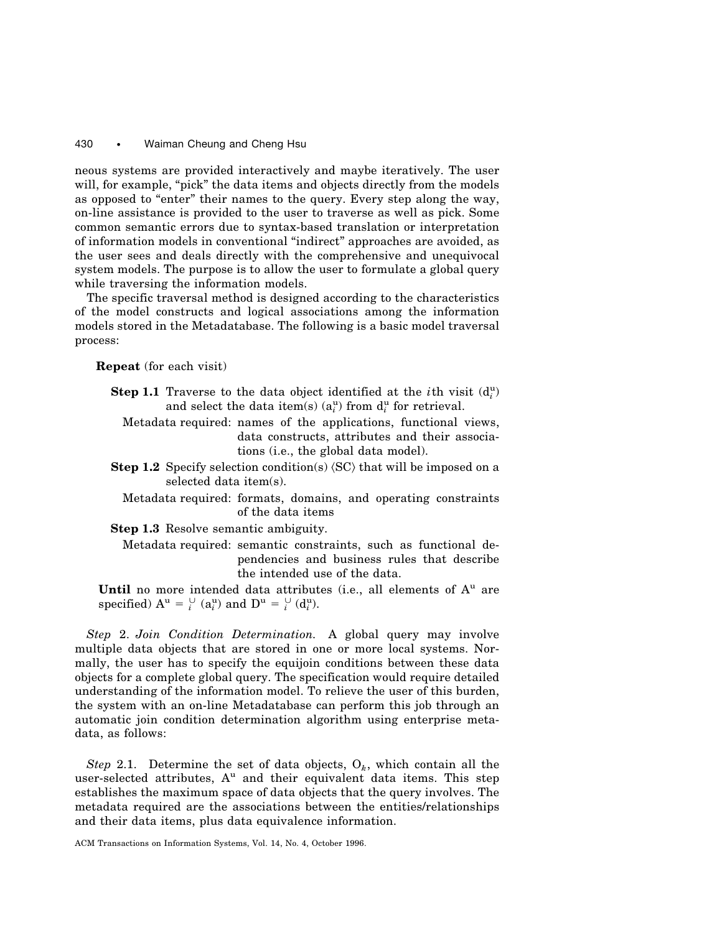neous systems are provided interactively and maybe iteratively. The user will, for example, "pick" the data items and objects directly from the models as opposed to "enter" their names to the query. Every step along the way, on-line assistance is provided to the user to traverse as well as pick. Some common semantic errors due to syntax-based translation or interpretation of information models in conventional "indirect" approaches are avoided, as the user sees and deals directly with the comprehensive and unequivocal system models. The purpose is to allow the user to formulate a global query while traversing the information models.

The specific traversal method is designed according to the characteristics of the model constructs and logical associations among the information models stored in the Metadatabase. The following is a basic model traversal process:

**Repeat** (for each visit)

- **Step 1.1** Traverse to the data object identified at the *i*th visit  $(d_i^u)$ and select the data item(s)  $(a_i^u)$  from  $d_i^u$  for retrieval.
	- Metadata required: names of the applications, functional views, data constructs, attributes and their associations (i.e., the global data model).
- **Step 1.2** Specify selection condition(s)  $\langle SC \rangle$  that will be imposed on a selected data item(s).
	- Metadata required: formats, domains, and operating constraints of the data items

**Step 1.3** Resolve semantic ambiguity.

Metadata required: semantic constraints, such as functional dependencies and business rules that describe the intended use of the data.

**Until** no more intended data attributes (i.e., all elements of  $A<sup>u</sup>$  are specified)  $A^u = \int_a^u (a_i^u)$  and  $D^u = \int_a^u (d_i^u)$ .

*Step* 2. *Join Condition Determination.* A global query may involve multiple data objects that are stored in one or more local systems. Normally, the user has to specify the equijoin conditions between these data objects for a complete global query. The specification would require detailed understanding of the information model. To relieve the user of this burden, the system with an on-line Metadatabase can perform this job through an automatic join condition determination algorithm using enterprise metadata, as follows:

*Step* 2.1. Determine the set of data objects,  $O_k$ , which contain all the user-selected attributes,  $A^u$  and their equivalent data items. This step establishes the maximum space of data objects that the query involves. The metadata required are the associations between the entities/relationships and their data items, plus data equivalence information.

ACM Transactions on Information Systems, Vol. 14, No. 4, October 1996.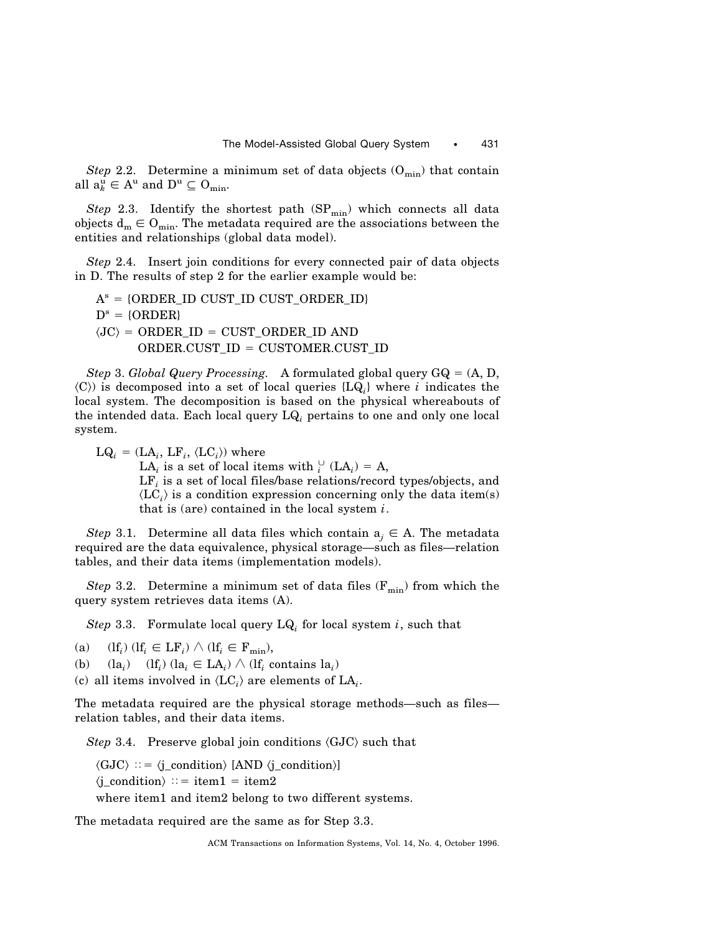*Step* 2.2. Determine a minimum set of data objects  $(O_{min})$  that contain all  $a_k^u \in A^u$  and  $D^u \subseteq O_{min}$ .

*Step* 2.3. Identify the shortest path  $(SP_{min})$  which connects all data objects  $d_m \in O_{\text{min}}$ . The metadata required are the associations between the entities and relationships (global data model).

*Step* 2.4. Insert join conditions for every connected pair of data objects in D. The results of step 2 for the earlier example would be:

 $A<sup>s</sup> = {ORDER ID CUST ID CUST ORDER ID}$  $D^s = \{ORDER\}$  $\langle JC \rangle = ORDER$  ID = CUST ORDER ID AND ORDER.CUST ID = CUSTOMER.CUST ID

*Step* 3. *Global Query Processing.* A formulated global query  $GQ = (A, D, D)$  $\langle C \rangle$  is decomposed into a set of local queries  ${LQ_i}$  where *i* indicates the local system. The decomposition is based on the physical whereabouts of the intended data. Each local query LQ*<sup>i</sup>* pertains to one and only one local system.

 $LQ_i = (LA_i, LF_i, \langle LC_i \rangle)$  where LA<sub>*i*</sub> is a set of local items with  $i^{\cup}$  (LA<sub>*i*</sub>) = A, LF<sub>i</sub> is a set of local files/base relations/record types/objects, and  $\langle LC_i\rangle$  is a condition expression concerning only the data item(s) that is (are) contained in the local system *i*.

*Step* 3.1. Determine all data files which contain  $a_i \in A$ . The metadata required are the data equivalence, physical storage—such as files—relation tables, and their data items (implementation models).

*Step* 3.2. Determine a minimum set of data files  $(F_{min})$  from which the query system retrieves data items (A).

*Step* 3.3. Formulate local query  $LQ_i$  for local system *i*, such that

(a)  $(lf_i)$   $(lf_i \in LF_i) \wedge (lf_i \in F_{\min}),$ 

(b)  $(la_i)$   $(lf_i)$   $(la_i \in LA_i) \wedge (lf_i$  contains  $la_i)$ 

(c) all items involved in  $\langle LC_i\rangle$  are elements of  $LA_i$ .

The metadata required are the physical storage methods—such as files relation tables, and their data items.

*Step* 3.4. Preserve global join conditions  $\langle GJC \rangle$  such that

 $\langle GJC \rangle$  :: =  $\langle j\_\text{condition}\rangle$  [AND  $\langle j\_\text{condition}\rangle$ ]

 $\langle$ j\_condition $\rangle$  :: = item1 = item2

where item1 and item2 belong to two different systems.

The metadata required are the same as for Step 3.3.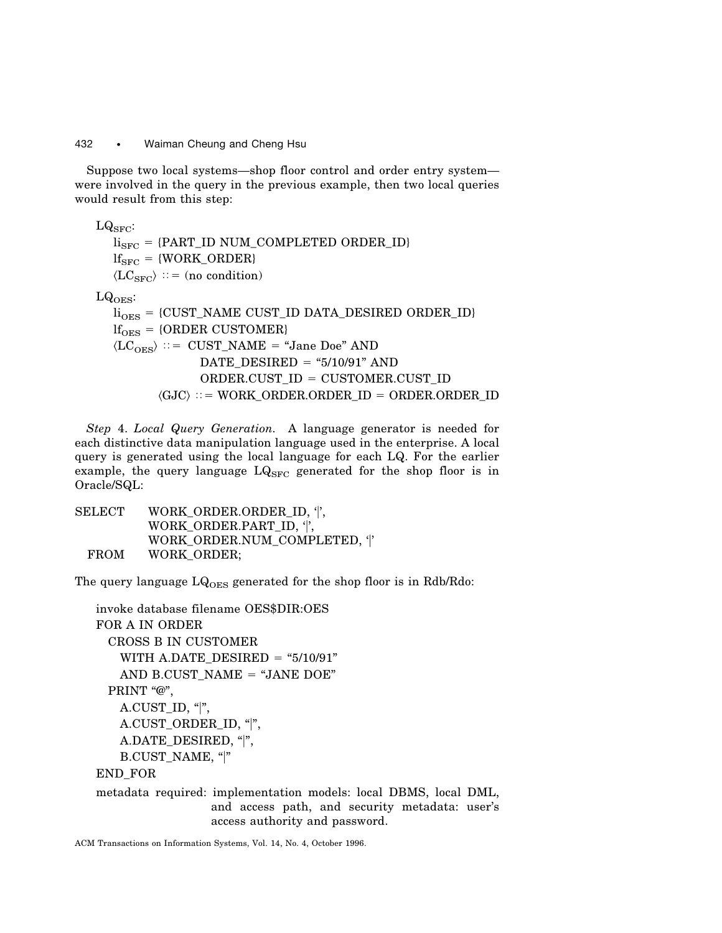Suppose two local systems—shop floor control and order entry system were involved in the query in the previous example, then two local queries would result from this step:

 $LQ<sub>SFC</sub>$ :  $li_{SFC}$  = {PART\_ID NUM\_COMPLETED ORDER\_ID}  $lf_{SFC} = \{WORK_ORBER\}$  $\langle LC_{SFC}\rangle$  :: = (no condition)

 $LQ_{OES}$ :

 $li_{OES}$  = {CUST\_NAME CUST\_ID DATA\_DESIRED ORDER\_ID}  $lf_{OES} = \{ORDER$  CUSTOMER}  $\langle LC_{OES} \rangle$  ::= CUST\_NAME = "Jane Doe" AND  $DATA$  $DESIRED = "5/10/91" AND$  $ORDER.CUST.ID = CUSTOMER.CUST-ID$  $\langle GJC \rangle$  ::= WORK\_ORDER.ORDER\_ID = ORDER.ORDER\_ID

*Step* 4. *Local Query Generation.* A language generator is needed for each distinctive data manipulation language used in the enterprise. A local query is generated using the local language for each LQ. For the earlier example, the query language  $LQ<sub>SFC</sub>$  generated for the shop floor is in Oracle/SQL:

| ${\rm SELECT}$ | WORK_ORDER.ORDER_ID, ' ',     |
|----------------|-------------------------------|
|                | WORK_ORDER.PART_ID, ' ',      |
|                | WORK_ORDER.NUM_COMPLETED, ' ' |
| <b>FROM</b>    | WORK_ORDER;                   |

The query language  $LQ<sub>OES</sub>$  generated for the shop floor is in Rdb/Rdo:

```
invoke database filename OES$DIR:OES
FOR A IN ORDER
 CROSS B IN CUSTOMER
   WITH A.DATE_DESIRED = "5/10/91"AND B.CUST NAME = "JANE DOE"
 PRINT "@",
   A.CUST_ID, "l",A.CUST_ORDER_ID, "|",
   A.DATE_DESIRED, "|",
   B.CUST_NAME, "|"
END_FOR
metadata required: implementation models: local DBMS, local DML,
                 and access path, and security metadata: user's
                 access authority and password.
```
ACM Transactions on Information Systems, Vol. 14, No. 4, October 1996.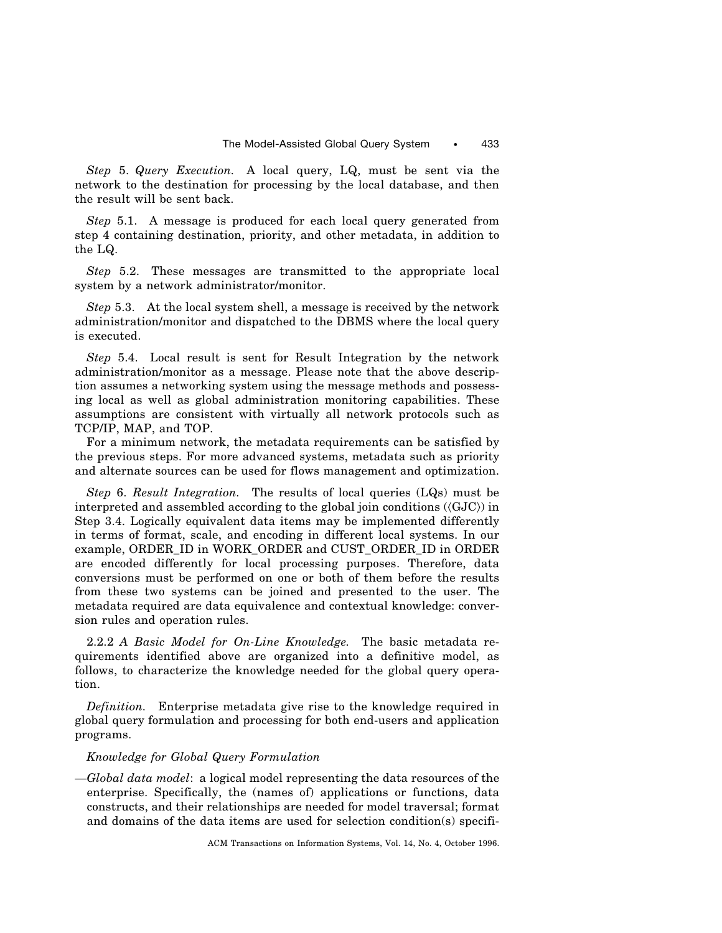*Step* 5. *Query Execution.* A local query, LQ, must be sent via the network to the destination for processing by the local database, and then the result will be sent back.

*Step* 5.1. A message is produced for each local query generated from step 4 containing destination, priority, and other metadata, in addition to the LQ.

*Step* 5.2. These messages are transmitted to the appropriate local system by a network administrator/monitor.

*Step* 5.3. At the local system shell, a message is received by the network administration/monitor and dispatched to the DBMS where the local query is executed.

*Step* 5.4. Local result is sent for Result Integration by the network administration/monitor as a message. Please note that the above description assumes a networking system using the message methods and possessing local as well as global administration monitoring capabilities. These assumptions are consistent with virtually all network protocols such as TCP/IP, MAP, and TOP.

For a minimum network, the metadata requirements can be satisfied by the previous steps. For more advanced systems, metadata such as priority and alternate sources can be used for flows management and optimization.

*Step* 6. *Result Integration.* The results of local queries (LQs) must be interpreted and assembled according to the global join conditions ( $\langle$ GJC $\rangle$ ) in Step 3.4. Logically equivalent data items may be implemented differently in terms of format, scale, and encoding in different local systems. In our example, ORDER\_ID in WORK\_ORDER and CUST\_ORDER\_ID in ORDER are encoded differently for local processing purposes. Therefore, data conversions must be performed on one or both of them before the results from these two systems can be joined and presented to the user. The metadata required are data equivalence and contextual knowledge: conversion rules and operation rules.

2.2.2 *A Basic Model for On-Line Knowledge.* The basic metadata requirements identified above are organized into a definitive model, as follows, to characterize the knowledge needed for the global query operation.

*Definition.* Enterprise metadata give rise to the knowledge required in global query formulation and processing for both end-users and application programs.

#### *Knowledge for Global Query Formulation*

—*Global data model*: a logical model representing the data resources of the enterprise. Specifically, the (names of) applications or functions, data constructs, and their relationships are needed for model traversal; format and domains of the data items are used for selection condition(s) specifi-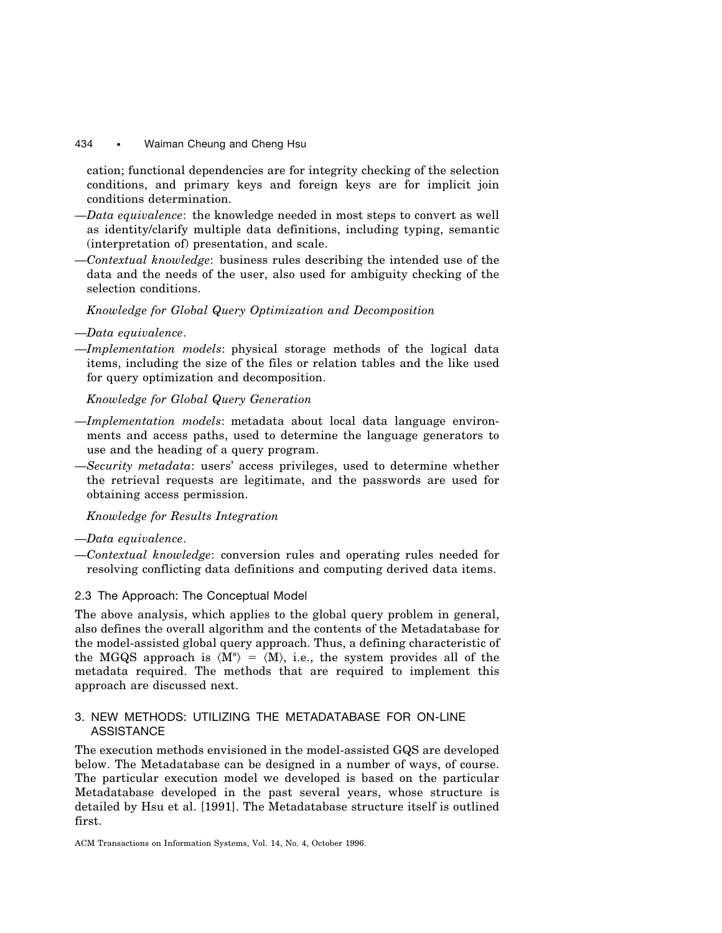cation; functional dependencies are for integrity checking of the selection conditions, and primary keys and foreign keys are for implicit join conditions determination.

- —*Data equivalence*: the knowledge needed in most steps to convert as well as identity/clarify multiple data definitions, including typing, semantic (interpretation of) presentation, and scale.
- —*Contextual knowledge*: business rules describing the intended use of the data and the needs of the user, also used for ambiguity checking of the selection conditions.

## *Knowledge for Global Query Optimization and Decomposition*

- —*Data equivalence*.
- —*Implementation models*: physical storage methods of the logical data items, including the size of the files or relation tables and the like used for query optimization and decomposition.

## *Knowledge for Global Query Generation*

- —*Implementation models*: metadata about local data language environments and access paths, used to determine the language generators to use and the heading of a query program.
- —*Security metadata*: users' access privileges, used to determine whether the retrieval requests are legitimate, and the passwords are used for obtaining access permission.

*Knowledge for Results Integration*

- —*Data equivalence*.
- —*Contextual knowledge*: conversion rules and operating rules needed for resolving conflicting data definitions and computing derived data items.

## 2.3 The Approach: The Conceptual Model

The above analysis, which applies to the global query problem in general, also defines the overall algorithm and the contents of the Metadatabase for the model-assisted global query approach. Thus, a defining characteristic of the MGQS approach is  $\langle M^s \rangle = \langle M \rangle$ , i.e., the system provides all of the metadata required. The methods that are required to implement this approach are discussed next.

## 3. NEW METHODS: UTILIZING THE METADATABASE FOR ON-LINE **ASSISTANCE**

The execution methods envisioned in the model-assisted GQS are developed below. The Metadatabase can be designed in a number of ways, of course. The particular execution model we developed is based on the particular Metadatabase developed in the past several years, whose structure is detailed by Hsu et al. [1991]. The Metadatabase structure itself is outlined first.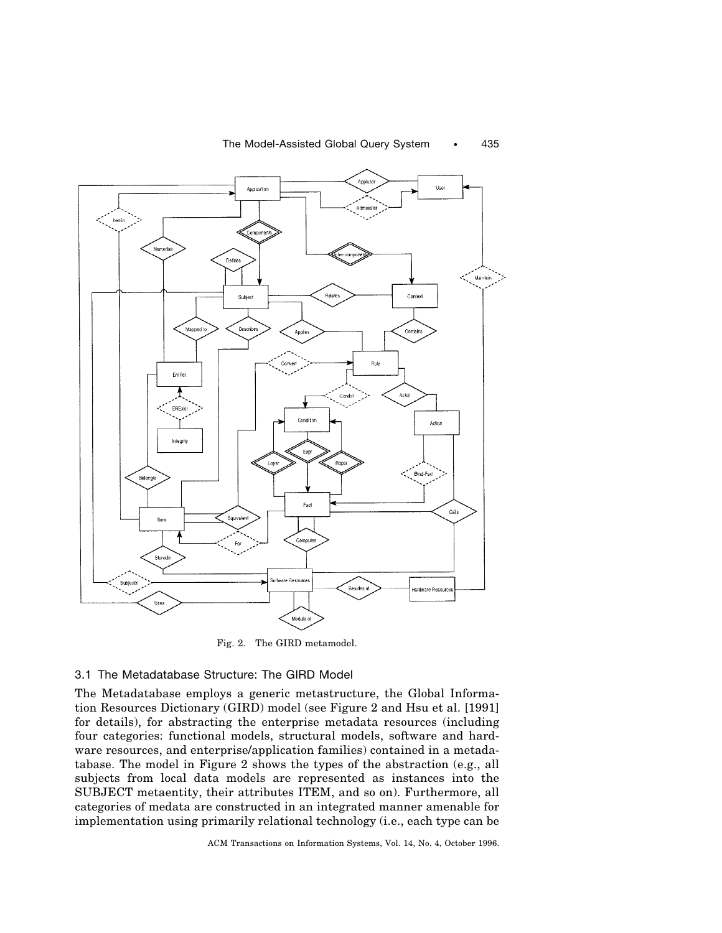

## The Model-Assisted Global Query System • 435

Fig. 2. The GIRD metamodel.

## 3.1 The Metadatabase Structure: The GIRD Model

The Metadatabase employs a generic metastructure, the Global Information Resources Dictionary (GIRD) model (see Figure 2 and Hsu et al. [1991] for details), for abstracting the enterprise metadata resources (including four categories: functional models, structural models, software and hardware resources, and enterprise/application families) contained in a metadatabase. The model in Figure 2 shows the types of the abstraction (e.g., all subjects from local data models are represented as instances into the SUBJECT metaentity, their attributes ITEM, and so on). Furthermore, all categories of medata are constructed in an integrated manner amenable for implementation using primarily relational technology (i.e., each type can be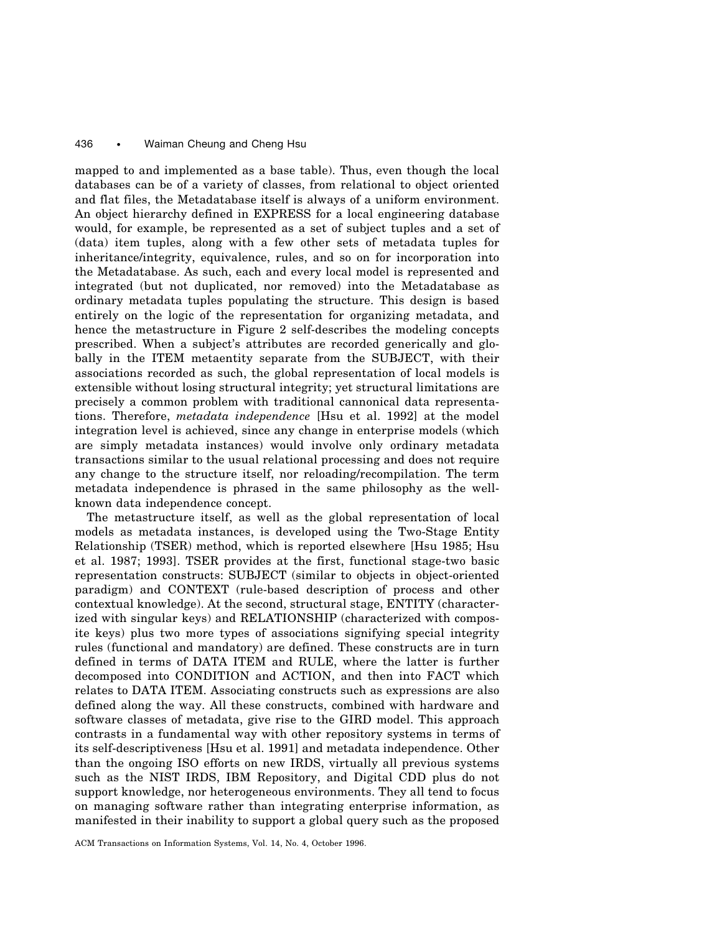mapped to and implemented as a base table). Thus, even though the local databases can be of a variety of classes, from relational to object oriented and flat files, the Metadatabase itself is always of a uniform environment. An object hierarchy defined in EXPRESS for a local engineering database would, for example, be represented as a set of subject tuples and a set of (data) item tuples, along with a few other sets of metadata tuples for inheritance/integrity, equivalence, rules, and so on for incorporation into the Metadatabase. As such, each and every local model is represented and integrated (but not duplicated, nor removed) into the Metadatabase as ordinary metadata tuples populating the structure. This design is based entirely on the logic of the representation for organizing metadata, and hence the metastructure in Figure 2 self-describes the modeling concepts prescribed. When a subject's attributes are recorded generically and globally in the ITEM metaentity separate from the SUBJECT, with their associations recorded as such, the global representation of local models is extensible without losing structural integrity; yet structural limitations are precisely a common problem with traditional cannonical data representations. Therefore, *metadata independence* [Hsu et al. 1992] at the model integration level is achieved, since any change in enterprise models (which are simply metadata instances) would involve only ordinary metadata transactions similar to the usual relational processing and does not require any change to the structure itself, nor reloading/recompilation. The term metadata independence is phrased in the same philosophy as the wellknown data independence concept.

The metastructure itself, as well as the global representation of local models as metadata instances, is developed using the Two-Stage Entity Relationship (TSER) method, which is reported elsewhere [Hsu 1985; Hsu et al. 1987; 1993]. TSER provides at the first, functional stage-two basic representation constructs: SUBJECT (similar to objects in object-oriented paradigm) and CONTEXT (rule-based description of process and other contextual knowledge). At the second, structural stage, ENTITY (characterized with singular keys) and RELATIONSHIP (characterized with composite keys) plus two more types of associations signifying special integrity rules (functional and mandatory) are defined. These constructs are in turn defined in terms of DATA ITEM and RULE, where the latter is further decomposed into CONDITION and ACTION, and then into FACT which relates to DATA ITEM. Associating constructs such as expressions are also defined along the way. All these constructs, combined with hardware and software classes of metadata, give rise to the GIRD model. This approach contrasts in a fundamental way with other repository systems in terms of its self-descriptiveness [Hsu et al. 1991] and metadata independence. Other than the ongoing ISO efforts on new IRDS, virtually all previous systems such as the NIST IRDS, IBM Repository, and Digital CDD plus do not support knowledge, nor heterogeneous environments. They all tend to focus on managing software rather than integrating enterprise information, as manifested in their inability to support a global query such as the proposed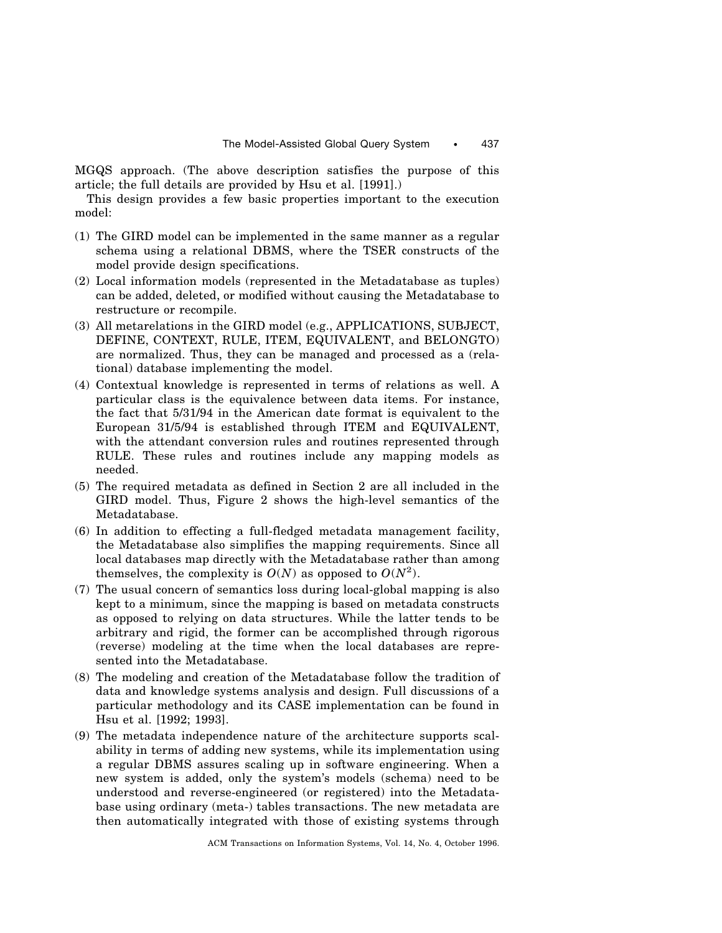MGQS approach. (The above description satisfies the purpose of this article; the full details are provided by Hsu et al. [1991].)

This design provides a few basic properties important to the execution model:

- (1) The GIRD model can be implemented in the same manner as a regular schema using a relational DBMS, where the TSER constructs of the model provide design specifications.
- (2) Local information models (represented in the Metadatabase as tuples) can be added, deleted, or modified without causing the Metadatabase to restructure or recompile.
- (3) All metarelations in the GIRD model (e.g., APPLICATIONS, SUBJECT, DEFINE, CONTEXT, RULE, ITEM, EQUIVALENT, and BELONGTO) are normalized. Thus, they can be managed and processed as a (relational) database implementing the model.
- (4) Contextual knowledge is represented in terms of relations as well. A particular class is the equivalence between data items. For instance, the fact that 5/31/94 in the American date format is equivalent to the European 31/5/94 is established through ITEM and EQUIVALENT, with the attendant conversion rules and routines represented through RULE. These rules and routines include any mapping models as needed.
- (5) The required metadata as defined in Section 2 are all included in the GIRD model. Thus, Figure 2 shows the high-level semantics of the Metadatabase.
- (6) In addition to effecting a full-fledged metadata management facility, the Metadatabase also simplifies the mapping requirements. Since all local databases map directly with the Metadatabase rather than among themselves, the complexity is  $O(N)$  as opposed to  $O(N^2)$ .
- (7) The usual concern of semantics loss during local-global mapping is also kept to a minimum, since the mapping is based on metadata constructs as opposed to relying on data structures. While the latter tends to be arbitrary and rigid, the former can be accomplished through rigorous (reverse) modeling at the time when the local databases are represented into the Metadatabase.
- (8) The modeling and creation of the Metadatabase follow the tradition of data and knowledge systems analysis and design. Full discussions of a particular methodology and its CASE implementation can be found in Hsu et al. [1992; 1993].
- (9) The metadata independence nature of the architecture supports scalability in terms of adding new systems, while its implementation using a regular DBMS assures scaling up in software engineering. When a new system is added, only the system's models (schema) need to be understood and reverse-engineered (or registered) into the Metadatabase using ordinary (meta-) tables transactions. The new metadata are then automatically integrated with those of existing systems through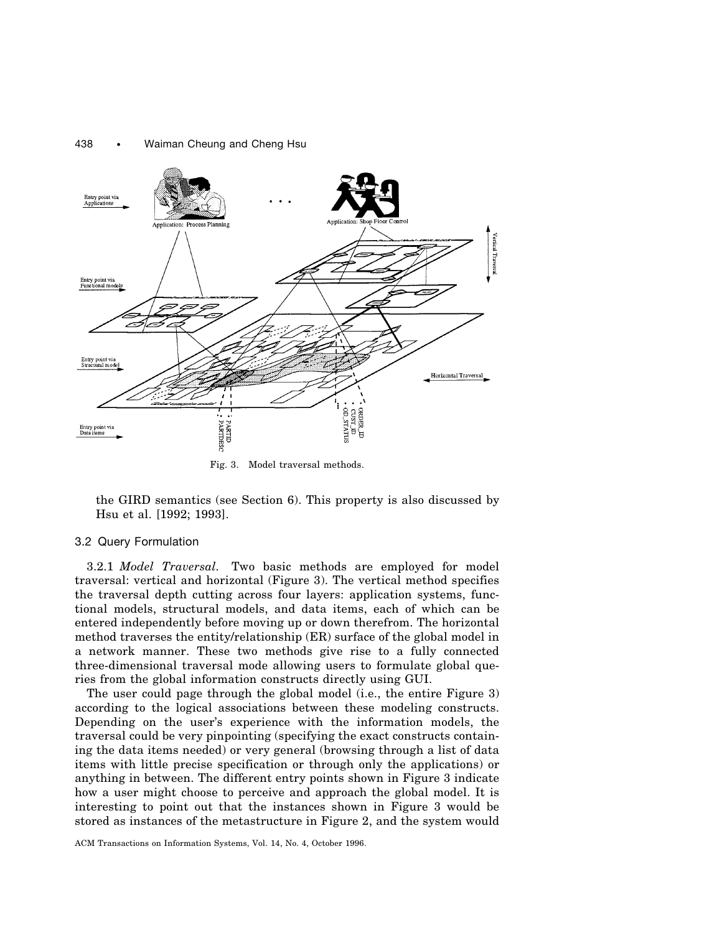

the GIRD semantics (see Section 6). This property is also discussed by Hsu et al. [1992; 1993].

#### 3.2 Query Formulation

3.2.1 *Model Traversal.* Two basic methods are employed for model traversal: vertical and horizontal (Figure 3). The vertical method specifies the traversal depth cutting across four layers: application systems, functional models, structural models, and data items, each of which can be entered independently before moving up or down therefrom. The horizontal method traverses the entity/relationship (ER) surface of the global model in a network manner. These two methods give rise to a fully connected three-dimensional traversal mode allowing users to formulate global queries from the global information constructs directly using GUI.

The user could page through the global model (i.e., the entire Figure 3) according to the logical associations between these modeling constructs. Depending on the user's experience with the information models, the traversal could be very pinpointing (specifying the exact constructs containing the data items needed) or very general (browsing through a list of data items with little precise specification or through only the applications) or anything in between. The different entry points shown in Figure 3 indicate how a user might choose to perceive and approach the global model. It is interesting to point out that the instances shown in Figure 3 would be stored as instances of the metastructure in Figure 2, and the system would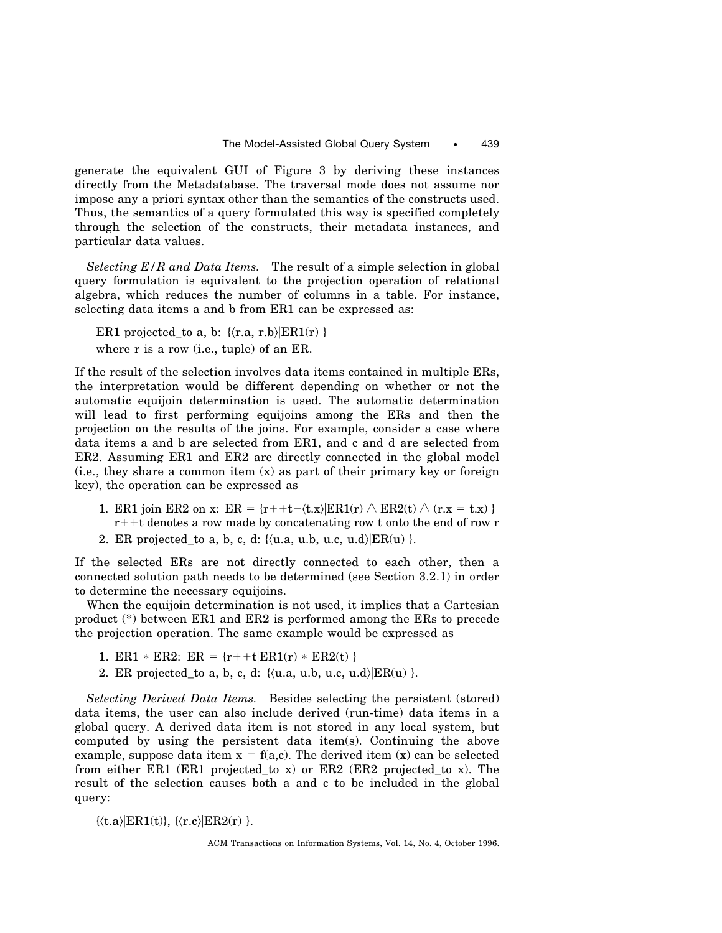generate the equivalent GUI of Figure 3 by deriving these instances directly from the Metadatabase. The traversal mode does not assume nor impose any a priori syntax other than the semantics of the constructs used. Thus, the semantics of a query formulated this way is specified completely through the selection of the constructs, their metadata instances, and particular data values.

*Selecting E/R and Data Items.* The result of a simple selection in global query formulation is equivalent to the projection operation of relational algebra, which reduces the number of columns in a table. For instance, selecting data items a and b from ER1 can be expressed as:

ER1 projected\_to a, b:  $\langle (r.a, r.b \rangle | ER1(r)) \rangle$ where r is a row (i.e., tuple) of an ER.

If the result of the selection involves data items contained in multiple ERs, the interpretation would be different depending on whether or not the automatic equijoin determination is used. The automatic determination will lead to first performing equijoins among the ERs and then the projection on the results of the joins. For example, consider a case where data items a and b are selected from ER1, and c and d are selected from ER2. Assuming ER1 and ER2 are directly connected in the global model  $(i.e., they share a common item (x) as part of their primary key or foreign$ key), the operation can be expressed as

- 1. ER1 join ER2 on x: ER =  ${r++t-\langle t,x\rangle|}\text{ER}(r) \wedge \text{ER}(t) \wedge (r,x = t,x) }$  $r++t$  denotes a row made by concatenating row t onto the end of row r
- 2. ER projected to a, b, c, d:  $\{(u.a, u.b, u.c, u.d) | ER(u)\}\$ .

If the selected ERs are not directly connected to each other, then a connected solution path needs to be determined (see Section 3.2.1) in order to determine the necessary equijoins.

When the equijoin determination is not used, it implies that a Cartesian product (\*) between ER1 and ER2 is performed among the ERs to precede the projection operation. The same example would be expressed as

- 1. ER1 \* ER2: ER =  ${r+}$ + $\text{ER1}(r)$  \* ER2(t) }
- 2. ER projected\_to a, b, c, d:  $\{(u.a, u.b, u.c, u.d) | ER(u)\}\$ .

*Selecting Derived Data Items.* Besides selecting the persistent (stored) data items, the user can also include derived (run-time) data items in a global query. A derived data item is not stored in any local system, but computed by using the persistent data item(s). Continuing the above example, suppose data item  $x = f(a,c)$ . The derived item  $(x)$  can be selected from either ER1 (ER1 projected\_to x) or ER2 (ER2 projected\_to x). The result of the selection causes both a and c to be included in the global query:

 $\{\langle t.a \rangle | ER1(t)\}, \{\langle r.c \rangle | ER2(r) \}$ .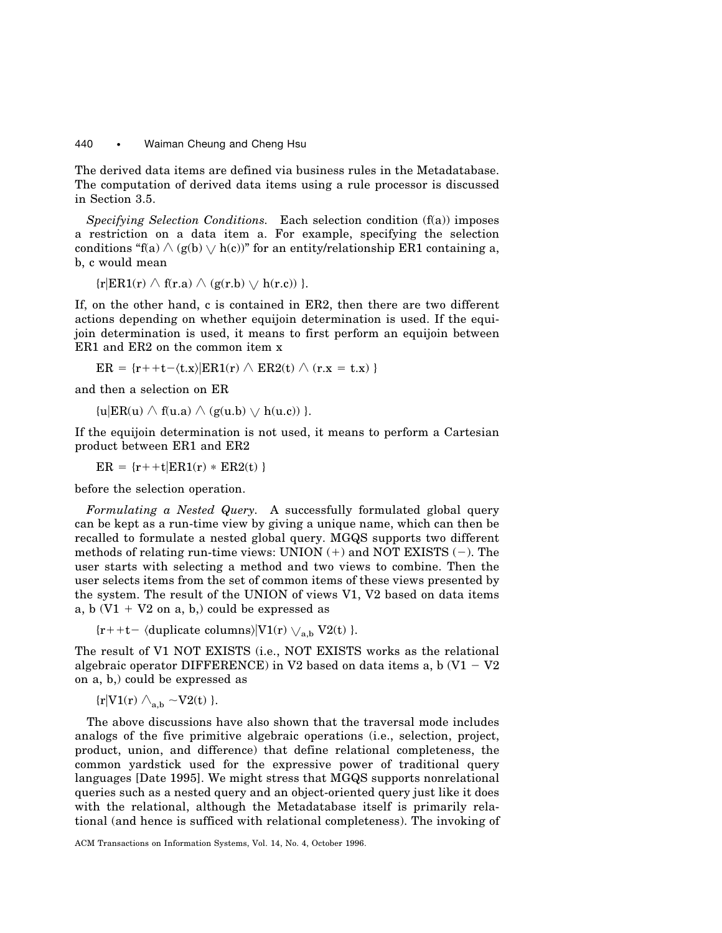The derived data items are defined via business rules in the Metadatabase. The computation of derived data items using a rule processor is discussed in Section 3.5.

*Specifying Selection Conditions.* Each selection condition (f(a)) imposes a restriction on a data item a. For example, specifying the selection conditions "f(a)  $\wedge$  (g(b)  $\vee$  h(c))" for an entity/relationship ER1 containing a, b, c would mean

 ${r|ER1(r) \wedge f(r.a) \wedge (g(r.b) \vee h(r.c)) }$ .

If, on the other hand, c is contained in ER2, then there are two different actions depending on whether equijoin determination is used. If the equijoin determination is used, it means to first perform an equijoin between ER1 and ER2 on the common item x

$$
ER = {r++t-\langle t.x \rangle}ER1(r) \wedge ER2(t) \wedge (r.x = t.x)
$$

and then a selection on ER

 ${u|ER(u) \wedge f(u.a) \wedge (g(u.b) \vee h(u.c)) }$ .

If the equijoin determination is not used, it means to perform a Cartesian product between ER1 and ER2

 $ER = {r+ + t|ER1(r) * ER2(t)}$ 

before the selection operation.

*Formulating a Nested Query.* A successfully formulated global query can be kept as a run-time view by giving a unique name, which can then be recalled to formulate a nested global query. MGQS supports two different methods of relating run-time views: UNION  $(+)$  and NOT EXISTS  $(-)$ . The user starts with selecting a method and two views to combine. Then the user selects items from the set of common items of these views presented by the system. The result of the UNION of views V1, V2 based on data items a,  $b (V1 + V2 \text{ on } a, b)$  could be expressed as

 ${r++t- \langle \text{duplicate columns} \rangle | V1(r) \setminus_{a,b} V2(t) }$ .

The result of V1 NOT EXISTS (i.e., NOT EXISTS works as the relational algebraic operator DIFFERENCE) in V2 based on data items a, b  $(V1 - V2)$ on a, b,) could be expressed as

 $\{r|V1(r) \bigwedge_{a,b} \sim V2(t) \}.$ 

The above discussions have also shown that the traversal mode includes analogs of the five primitive algebraic operations (i.e., selection, project, product, union, and difference) that define relational completeness, the common yardstick used for the expressive power of traditional query languages [Date 1995]. We might stress that MGQS supports nonrelational queries such as a nested query and an object-oriented query just like it does with the relational, although the Metadatabase itself is primarily relational (and hence is sufficed with relational completeness). The invoking of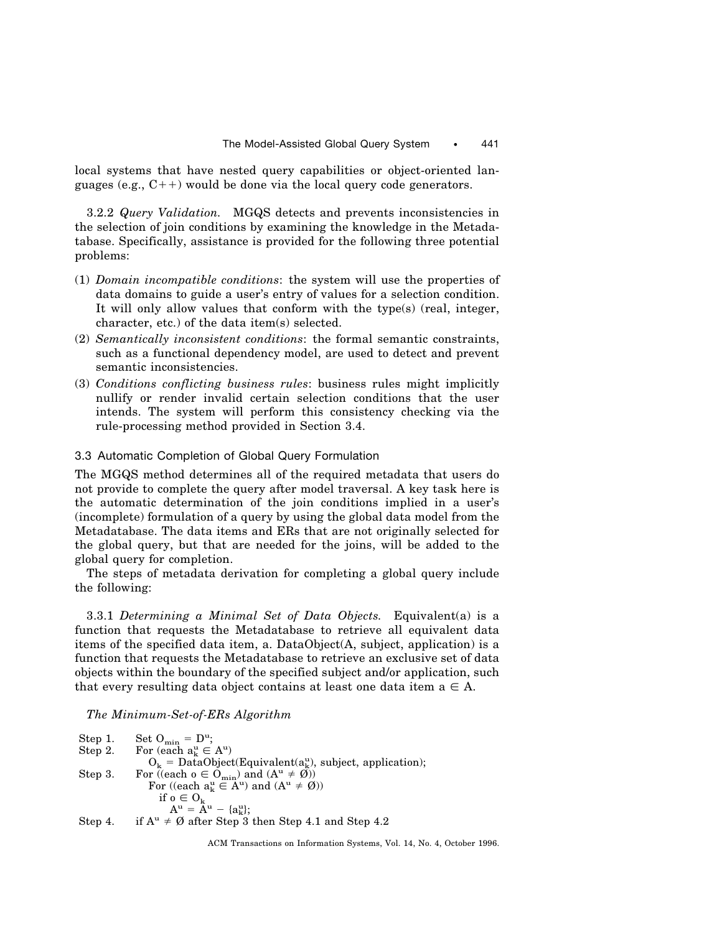local systems that have nested query capabilities or object-oriented languages (e.g.,  $C_{+}$ ) would be done via the local query code generators.

3.2.2 *Query Validation.* MGQS detects and prevents inconsistencies in the selection of join conditions by examining the knowledge in the Metadatabase. Specifically, assistance is provided for the following three potential problems:

- (1) *Domain incompatible conditions*: the system will use the properties of data domains to guide a user's entry of values for a selection condition. It will only allow values that conform with the type(s) (real, integer, character, etc.) of the data item(s) selected.
- (2) *Semantically inconsistent conditions*: the formal semantic constraints, such as a functional dependency model, are used to detect and prevent semantic inconsistencies.
- (3) *Conditions conflicting business rules*: business rules might implicitly nullify or render invalid certain selection conditions that the user intends. The system will perform this consistency checking via the rule-processing method provided in Section 3.4.

#### 3.3 Automatic Completion of Global Query Formulation

The MGQS method determines all of the required metadata that users do not provide to complete the query after model traversal. A key task here is the automatic determination of the join conditions implied in a user's (incomplete) formulation of a query by using the global data model from the Metadatabase. The data items and ERs that are not originally selected for the global query, but that are needed for the joins, will be added to the global query for completion.

The steps of metadata derivation for completing a global query include the following:

3.3.1 *Determining a Minimal Set of Data Objects.* Equivalent(a) is a function that requests the Metadatabase to retrieve all equivalent data items of the specified data item, a. DataObject $(A, \text{subject}, \text{application})$  is a function that requests the Metadatabase to retrieve an exclusive set of data objects within the boundary of the specified subject and/or application, such that every resulting data object contains at least one data item  $a \in A$ .

#### *The Minimum-Set-of-ERs Algorithm*

| Step 1. | Set $O_{\min} = D^u$ ;                                                             |
|---------|------------------------------------------------------------------------------------|
| Step 2. | For (each $a_{\mu}^{\mathrm{u}} \in A^{\mathrm{u}}$ )                              |
|         | $O_k = \text{DataObject}(\text{Equivalent}(a_k^u), \text{ subject, application});$ |
| Step 3. | For ((each $o \in O_{\min}$ ) and $(A^u \neq \emptyset)$ )                         |
|         | For ((each $a_k^u \in A^u$ ) and $(A^u \neq \emptyset)$ )                          |
|         | if $o \in O_k$                                                                     |
|         | $A^u = A^u - \{a^u_k\}$                                                            |
| Step 4. | if $A^u \neq \emptyset$ after Step 3 then Step 4.1 and Step 4.2                    |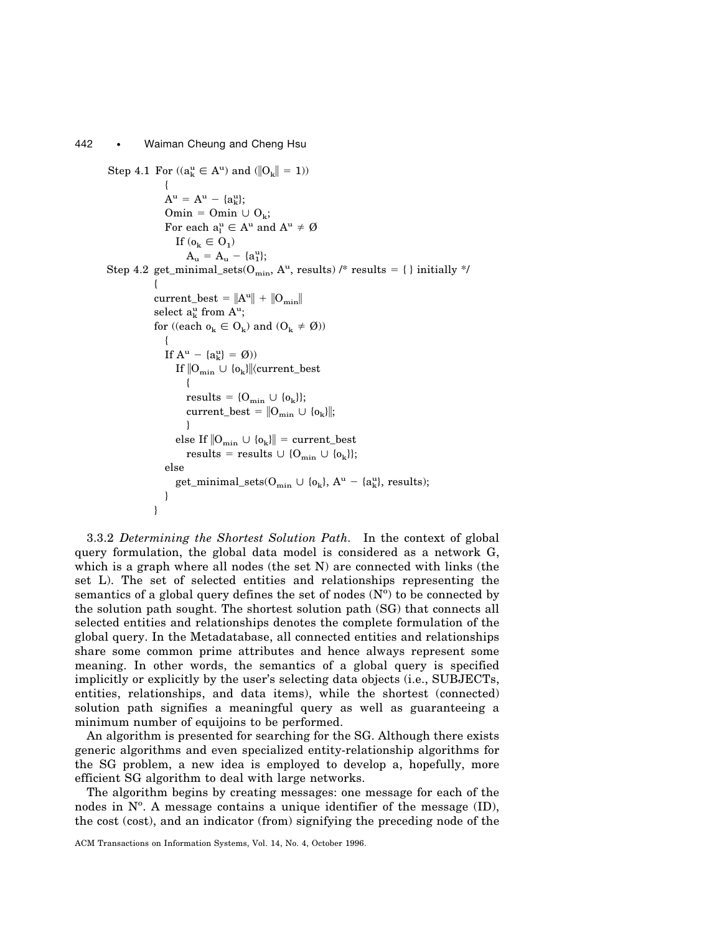```
Step 4.1 For ((a_k^u \in A^u) and (\|O_k\| = 1)){
                         A^u = A^u - {a^u_k};Omin = Omin \cup O_k;For each a_l^u \in A^u and A^u \neq \emptysetIf (o_k \in O_1)A_u = A_u - {a_1^u};Step 4.2 get_minimal_sets(O_{\text{min}}, A<sup>u</sup>, results) /* results = { } initially */
                      {
                      \text{current\_best} = \|\mathbf{A}^{\mathrm{u}}\| + \|\mathbf{O}_{\mathrm{min}}\|select a_k^u from A^u;
                      for ((each o_k \in O_k) and (O_k \neq \emptyset))
                         {
                         If A^u - {a^u_k} = \emptyset)
                            If \|O_{\min} \cup \{o_k\}\|(current_best
                               {
                              results = {O_{\min} \cup {o_k}};
                              current_best = \|O_{\min} \cup \{o_k\}\|;}
                            else If \|O_{\text{min}} \cup \{o_k\}\| = current_best
                              results = results \cup {O<sub>min</sub> \cup {o<sub>k</sub>}};
                         else
                            get_minimal_sets(O_{min} \cup \{o_k\}, A^u - \{a_k^u\}, results);
                         }
                      }
442 • Waiman Cheung and Cheng Hsu
```
3.3.2 *Determining the Shortest Solution Path.* In the context of global query formulation, the global data model is considered as a network G, which is a graph where all nodes (the set N) are connected with links (the set L). The set of selected entities and relationships representing the semantics of a global query defines the set of nodes  $(N^{\circ})$  to be connected by the solution path sought. The shortest solution path (SG) that connects all selected entities and relationships denotes the complete formulation of the global query. In the Metadatabase, all connected entities and relationships share some common prime attributes and hence always represent some meaning. In other words, the semantics of a global query is specified implicitly or explicitly by the user's selecting data objects (i.e., SUBJECTs, entities, relationships, and data items), while the shortest (connected) solution path signifies a meaningful query as well as guaranteeing a minimum number of equijoins to be performed.

An algorithm is presented for searching for the SG. Although there exists generic algorithms and even specialized entity-relationship algorithms for the SG problem, a new idea is employed to develop a, hopefully, more efficient SG algorithm to deal with large networks.

The algorithm begins by creating messages: one message for each of the nodes in  $N^{\circ}$ . A message contains a unique identifier of the message (ID), the cost (cost), and an indicator (from) signifying the preceding node of the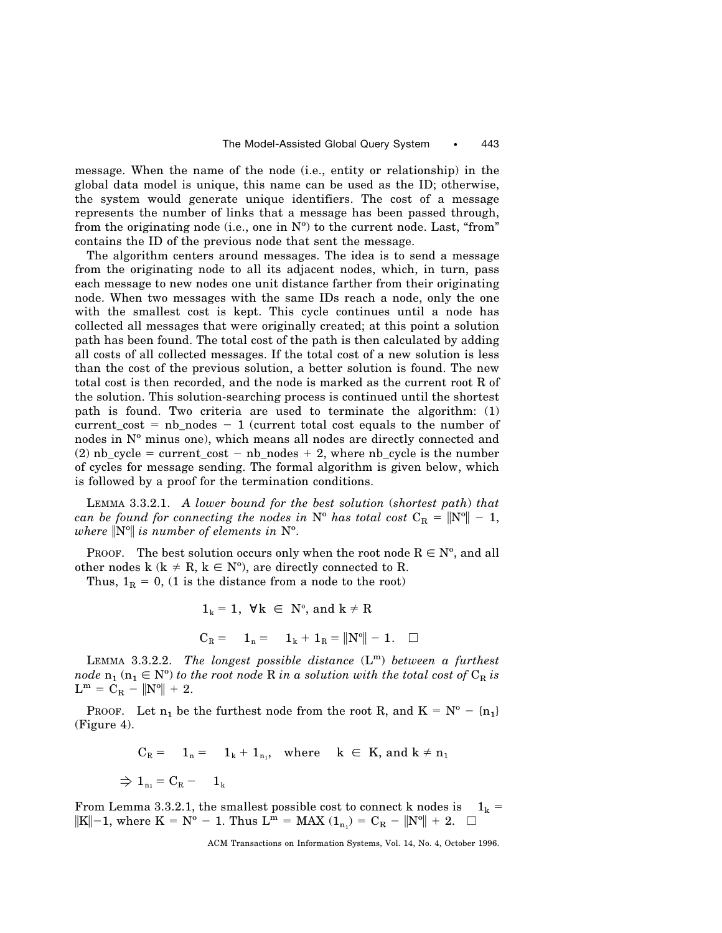message. When the name of the node (i.e., entity or relationship) in the global data model is unique, this name can be used as the ID; otherwise, the system would generate unique identifiers. The cost of a message represents the number of links that a message has been passed through, from the originating node (i.e., one in  $N^{\circ}$ ) to the current node. Last, "from" contains the ID of the previous node that sent the message.

The algorithm centers around messages. The idea is to send a message from the originating node to all its adjacent nodes, which, in turn, pass each message to new nodes one unit distance farther from their originating node. When two messages with the same IDs reach a node, only the one with the smallest cost is kept. This cycle continues until a node has collected all messages that were originally created; at this point a solution path has been found. The total cost of the path is then calculated by adding all costs of all collected messages. If the total cost of a new solution is less than the cost of the previous solution, a better solution is found. The new total cost is then recorded, and the node is marked as the current root R of the solution. This solution-searching process is continued until the shortest path is found. Two criteria are used to terminate the algorithm: (1) current\_cost =  $nb\_nodes - 1$  (current total cost equals to the number of nodes in N° minus one), which means all nodes are directly connected and  $(2)$  nb\_cycle = current\_cost - nb\_nodes + 2, where nb\_cycle is the number of cycles for message sending. The formal algorithm is given below, which is followed by a proof for the termination conditions.

LEMMA 3.3.2.1. *A lower bound for the best solution* (*shortest path*) *that*  $can\,$  be found for connecting the nodes in  $\mathrm{N}^\mathrm{o}$  has total cost  $\mathrm{C_R} = \|\mathrm{N}^\mathrm{o}\| - 1,$ where  $\Vert N^{\circ} \Vert$  is number of elements in  $N^{\circ}$ .

PROOF. The best solution occurs only when the root node  $R \in N^{\circ}$ , and all other nodes  $k (k \neq R, k \in N^{\circ})$ , are directly connected to R.

Thus,  $1_R = 0$ , (1 is the distance from a node to the root)

$$
1_k = 1, \ \forall k \in \ N^o, \text{ and } k \neq R
$$

$$
C_R=\quad \ \ 1_n=\quad \ \ 1_k+\,1_R=\|N^o\|-1.\quad \ \square
$$

LEMMA 3.3.2.2. *The longest possible distance* (Lm) *between a furthest node*  $n_1$  ( $n_1 \in N^o$ ) *to the root node* R *in a solution with the total cost of*  $C_R$  *is*  $L^m = \overline{C}_R - ||N^o|| + 2.$ 

PROOF. Let  $n_1$  be the furthest node from the root R, and  $K = N^{\circ} - {n_1}$ (Figure 4).

$$
C_R = \mathbf{1}_n = \mathbf{1}_k + \mathbf{1}_{n_1}, \text{ where } k \in K, \text{ and } k \neq n_1
$$
  

$$
\Rightarrow \mathbf{1}_{n_1} = C_R - \mathbf{1}_k
$$

From Lemma 3.3.2.1, the smallest possible cost to connect k nodes is  $1_k =$  $||K||-1$ , where  $K = N^{\circ} - 1$ . Thus  $L^{\overline{m}} = MAX (1_{n_1}) = C_R - ||N^{\circ}|| + 2$ .  $\Box$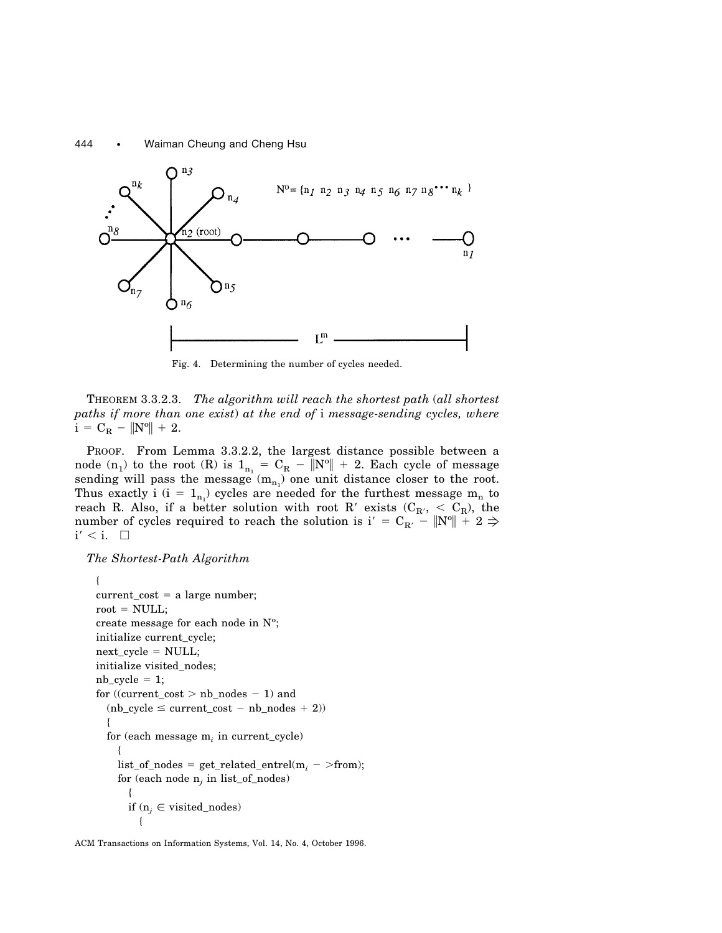

Fig. 4. Determining the number of cycles needed.

THEOREM 3.3.2.3. *The algorithm will reach the shortest path* (*all shortest paths if more than one exist*) *at the end of* i *message-sending cycles, where*  $i = C_R - ||N^o|| + 2.$ 

PROOF. From Lemma 3.3.2.2, the largest distance possible between a node (n<sub>1</sub>) to the root (R) is  $1_{n_1} = C_R - ||N^o|| + 2$ . Each cycle of message sending will pass the message  $(m_{n_1})$  one unit distance closer to the root. Thus exactly i (i =  $1_{n_1}$ ) cycles are needed for the furthest message  $m_n$  to reach R. Also, if a better solution with root R' exists  $(C_{R'} , < C_{R})$ , the number of cycles required to reach the solution is  $i' = C_{R'} - ||N^o|| + 2 \Rightarrow$  $i' < i$ .  $\Box$ 

#### *The Shortest-Path Algorithm*

```
{
current\_cost = a large number;root = NULL;create message for each node in N^{\circ};
initialize current_cycle;
next\_cycle = NULL;initialize visited_nodes;
nb_cycle = 1;for ((\text{current\_cost} > \text{nb\_nodes} - 1) and
  (nb_cycle \leq current_cost - nb\_nodes + 2){
  for (each message mi in current_cycle)
    {
    list_of\_nodes = get\_related\_entrel(m_i - \geq from);for (each node n_i in list_of_nodes)
      {
      if (n_i \in \text{visited\_nodes}){
```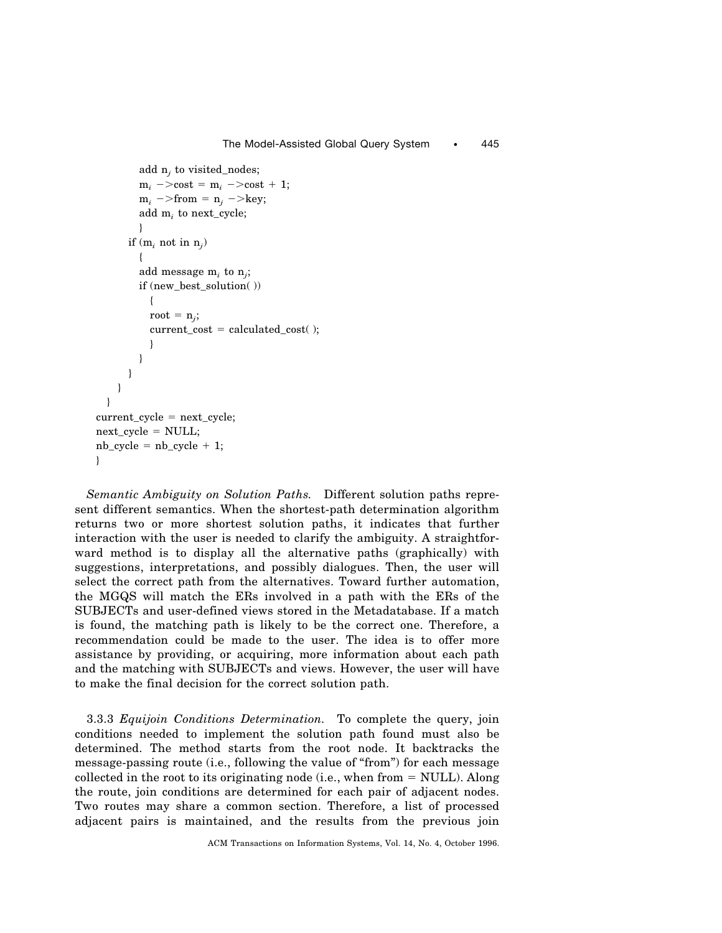```
add nj to visited_nodes;
         m_i ->cost = m_i ->cost + 1;
         m_i ->from = n_i ->key;
         add mi to next_cycle;
         }
      if (m_i \text{ not in } n_i){
         add message m_i to n_j;
         if (new_best_solution( ))
           {
           root = n_i;
           current cost = calculated cost( );
           }
         }
      }
    }
  }
current_{cycle} = next_{cycle};next cycle = NULL;nb\_cycle = nb\_cycle + 1;
```
}

*Semantic Ambiguity on Solution Paths.* Different solution paths represent different semantics. When the shortest-path determination algorithm returns two or more shortest solution paths, it indicates that further interaction with the user is needed to clarify the ambiguity. A straightforward method is to display all the alternative paths (graphically) with suggestions, interpretations, and possibly dialogues. Then, the user will select the correct path from the alternatives. Toward further automation, the MGQS will match the ERs involved in a path with the ERs of the SUBJECTs and user-defined views stored in the Metadatabase. If a match is found, the matching path is likely to be the correct one. Therefore, a recommendation could be made to the user. The idea is to offer more assistance by providing, or acquiring, more information about each path and the matching with SUBJECTs and views. However, the user will have to make the final decision for the correct solution path.

3.3.3 *Equijoin Conditions Determination.* To complete the query, join conditions needed to implement the solution path found must also be determined. The method starts from the root node. It backtracks the message-passing route (i.e., following the value of "from") for each message collected in the root to its originating node (i.e., when from  $=$  NULL). Along the route, join conditions are determined for each pair of adjacent nodes. Two routes may share a common section. Therefore, a list of processed adjacent pairs is maintained, and the results from the previous join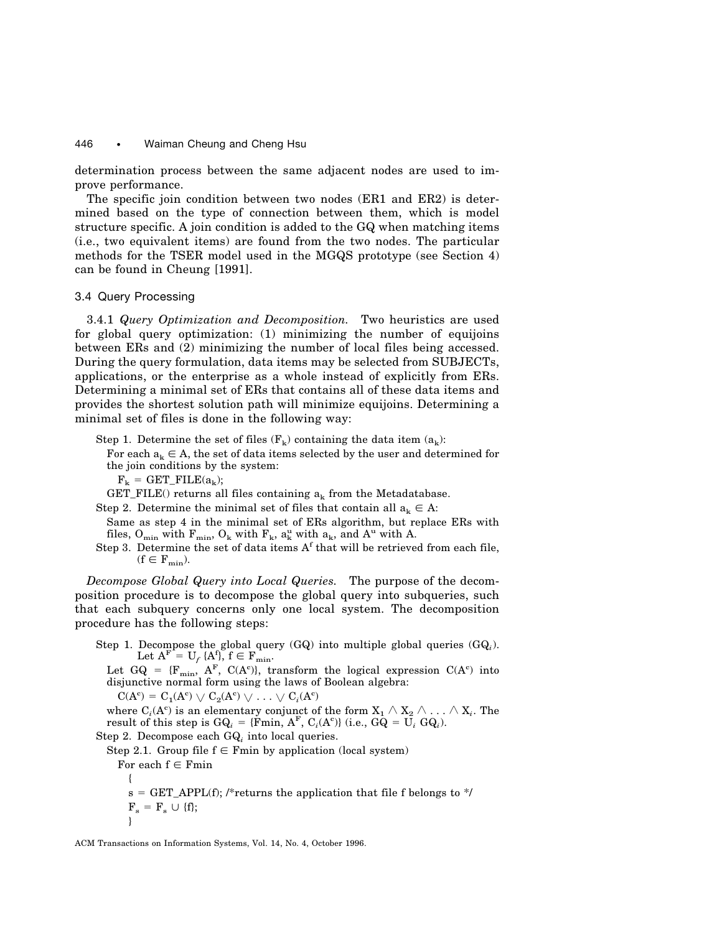determination process between the same adjacent nodes are used to improve performance.

The specific join condition between two nodes (ER1 and ER2) is determined based on the type of connection between them, which is model structure specific. A join condition is added to the GQ when matching items (i.e., two equivalent items) are found from the two nodes. The particular methods for the TSER model used in the MGQS prototype (see Section 4) can be found in Cheung [1991].

#### 3.4 Query Processing

3.4.1 *Query Optimization and Decomposition.* Two heuristics are used for global query optimization: (1) minimizing the number of equijoins between ERs and (2) minimizing the number of local files being accessed. During the query formulation, data items may be selected from SUBJECTs, applications, or the enterprise as a whole instead of explicitly from ERs. Determining a minimal set of ERs that contains all of these data items and provides the shortest solution path will minimize equijoins. Determining a minimal set of files is done in the following way:

Step 1. Determine the set of files  $(F_k)$  containing the data item  $(a_k)$ :

For each  $a_k \in A$ , the set of data items selected by the user and determined for the join conditions by the system:

 $F_k = GET\_FILE(a_k);$ 

GET\_FILE() returns all files containing  $a_k$  from the Metadatabase.

Step 2. Determine the minimal set of files that contain all  $a_k \in A$ :

Same as step 4 in the minimal set of ERs algorithm, but replace ERs with files,  $O_{\min}$  with  $F_{\min}$ ,  $O_k$  with  $F_k$ ,  $a_k^u$  with  $a_k$ , and  $A^u$  with A.

Step 3. Determine the set of data items  $A<sup>f</sup>$  that will be retrieved from each file,  $(f \in F_{\min}).$ 

*Decompose Global Query into Local Queries.* The purpose of the decomposition procedure is to decompose the global query into subqueries, such that each subquery concerns only one local system. The decomposition procedure has the following steps:

Step 1. Decompose the global query (GQ) into multiple global queries (GQ*i*). Let  $A^F = U_f \{A^f\}, f \in F_{min}$ .

Let GQ = { $F_{\text{min}}$ , A<sup>F</sup>, C(A<sup>c</sup>)}, transform the logical expression C(A<sup>c</sup>) into disjunctive normal form using the laws of Boolean algebra:

 $C(A^c) = C_1(A^c) \vee C_2(A^c) \vee \ldots \vee C_i(A^c)$ 

where  $\mathrm{C}_i(\mathrm{A}^c)$  is an elementary conjunct of the form  $\mathrm{X}_1 \wedge \mathrm{X}_2 \wedge \ldots \wedge \mathrm{X}_i$ . The result of this step is  $\mathrm{GQ}_i = \{\mathrm{Fmin}, \mathrm{A}^{\mathrm{F}}, \mathrm{C}_i(\mathrm{A}^{\mathrm{c}})\}$  (i.e.,  $\mathrm{GQ} = \mathrm{U}_i^{\mathrm{F}} \mathrm{GQ}_i$ ).

Step 2. Decompose each GQ*<sup>i</sup>* into local queries.

Step 2.1. Group file  $f \in F$ min by application (local system) For each  $f \in F$ min {

 $s = GET_APPL(f);$  /\*returns the application that file f belongs to \*/  $F_s = F_s \cup \{f\};$ }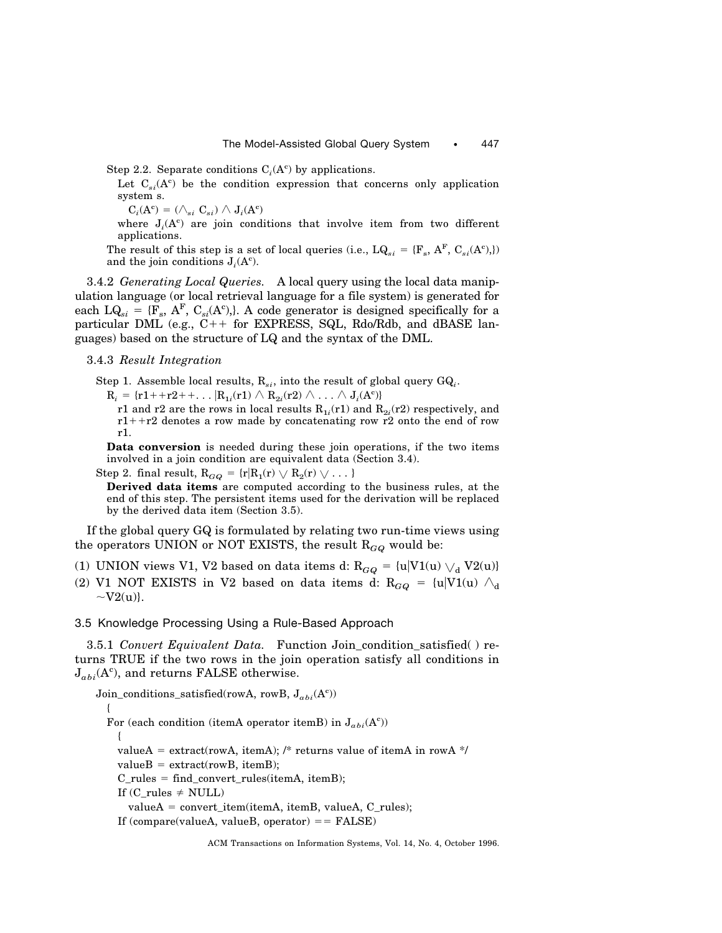Step 2.2. Separate conditions  $C<sub>i</sub>(A<sup>c</sup>)$  by applications.

Let  $C_{si}(A^c)$  be the condition expression that concerns only application system s.

 $C_i(A^c) = (\bigwedge_{si} C_{si}) \bigwedge J_i(A^c)$ 

where  $J_i(A^c)$  are join conditions that involve item from two different applications.

The result of this step is a set of local queries (i.e.,  $\text{LQ}_{si} = \{\text{F}_s, \text{A}^{\text{F}}, \text{C}_{si}(\text{A}^{\text{c}}), \text{N}\}$ and the join conditions  $J_i(A^c)$ .

3.4.2 *Generating Local Queries.* A local query using the local data manipulation language (or local retrieval language for a file system) is generated for each  $LQ_{si} = \{F_s, A^F, C_{si}(A^c)\}$ . A code generator is designed specifically for a particular DML (e.g.,  $C++$  for EXPRESS, SQL, Rdo/Rdb, and dBASE languages) based on the structure of LQ and the syntax of the DML.

#### 3.4.3 *Result Integration*

Step 1. Assemble local results,  $R_{si}$ , into the result of global query  $GQ_i$ .

 $R_i = {r1 + r2 + \dots | R_{1i}(r1) \land R_{2i}(r2) \land \dots \land J_i(A^c)}$ 

r1 and r2 are the rows in local results  $R_{1i}(r1)$  and  $R_{2i}(r2)$  respectively, and  $r1++r2$  denotes a row made by concatenating row r2 onto the end of row r1.

**Data conversion** is needed during these join operations, if the two items involved in a join condition are equivalent data (Section 3.4).

Step 2. final result,  $R_{GQ} = {r|R_1(r) \vee R_2(r) \vee \dots}$ 

**Derived data items** are computed according to the business rules, at the end of this step. The persistent items used for the derivation will be replaced by the derived data item (Section 3.5).

If the global query GQ is formulated by relating two run-time views using the operators UNION or NOT EXISTS, the result  $R_{GQ}$  would be:

- (1) UNION views V1, V2 based on data items d:  $R_{GQ} = {u|V1(u) \vee d V2(u)}$
- (2) V1 NOT EXISTS in V2 based on data items d:  $R_{GO} = {u|V1(u) \wedge d}$  $\sim$ V2(u)}.

3.5 Knowledge Processing Using a Rule-Based Approach

3.5.1 *Convert Equivalent Data.* Function Join\_condition\_satisfied( ) returns TRUE if the two rows in the join operation satisfy all conditions in  $J_{abi}(A^c)$ , and returns FALSE otherwise.

Join\_conditions\_satisfied(rowA, rowB,  $J_{abi}(A^c)$ ) { For (each condition (itemA operator itemB) in  $J_{abi}(A^c)$ ) { valueA = extract(rowA, itemA); /\* returns value of itemA in rowA \*/  $valueB = extract(rowB, itemB);$  $C_{\text{rules}} = \text{find\_convert\_rules}(\text{itemA}, \text{itemB});$ If  $(C_{rules} \neq NULL)$  $valueA = convert\_item(itemA, itemB, valueA, C_rules);$ 

If  $(compare(valueA, valueB, operator) == FALSE)$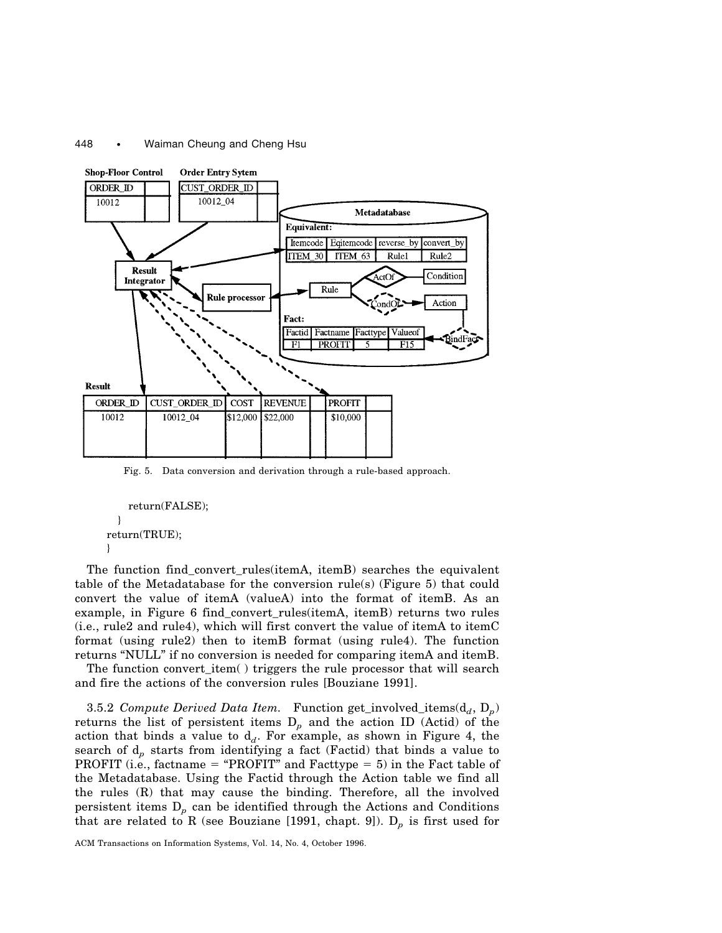

Fig. 5. Data conversion and derivation through a rule-based approach.

```
return(FALSE);
 }
return(TRUE);
}
```
The function find\_convert\_rules(itemA, itemB) searches the equivalent table of the Metadatabase for the conversion rule(s) (Figure 5) that could convert the value of itemA (valueA) into the format of itemB. As an example, in Figure 6 find\_convert\_rules(itemA, itemB) returns two rules (i.e., rule2 and rule4), which will first convert the value of itemA to itemC format (using rule2) then to itemB format (using rule4). The function returns "NULL" if no conversion is needed for comparing itemA and itemB.

The function convert\_item( ) triggers the rule processor that will search and fire the actions of the conversion rules [Bouziane 1991].

3.5.2 *Compute Derived Data Item.* Function get\_involved\_items( $d_d$ ,  $D_p$ ) returns the list of persistent items D*<sup>p</sup>* and the action ID (Actid) of the action that binds a value to  $d_d$ . For example, as shown in Figure 4, the search of  $d_p$  starts from identifying a fact (Factid) that binds a value to PROFIT (i.e., factname = "PROFIT" and Facttype =  $5$ ) in the Fact table of the Metadatabase. Using the Factid through the Action table we find all the rules (R) that may cause the binding. Therefore, all the involved persistent items  $D_p$  can be identified through the Actions and Conditions that are related to R (see Bouziane [1991, chapt. 9]).  $D_p$  is first used for

```
ACM Transactions on Information Systems, Vol. 14, No. 4, October 1996.
```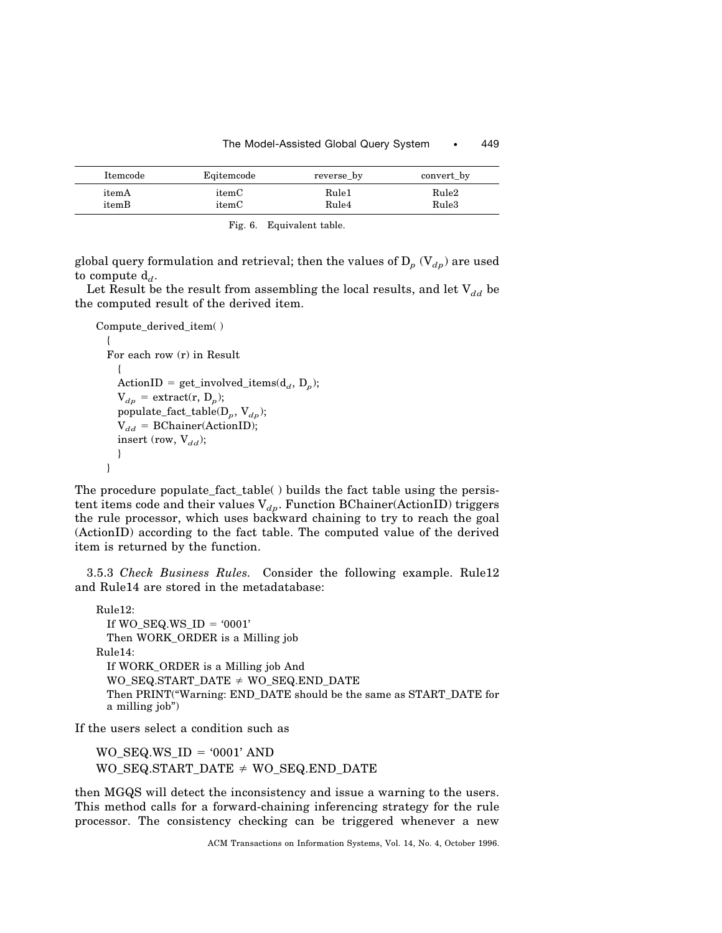| Itemcode | Eqitemcode | reverse_by | convert_by |
|----------|------------|------------|------------|
| itemA    | itemC      | Rule1      | Rule2      |
| itemB    | itemC      | Rule4      | Rule3      |

Fig. 6. Equivalent table.

global query formulation and retrieval; then the values of  $D_p$  ( $V_{dp}$ ) are used to compute  $d_d$ .

Let Result be the result from assembling the local results, and let  $V_{dd}$  be the computed result of the derived item.

```
Compute_derived_item( )
  {
  For each row (r) in Result
    {
    ActionID = get_involved_items(d_d, D<sub>p</sub>);
    V_{dp} = extract(r, D<sub>p</sub>);
    populate_fact_table(Dp, Vdp);
    V_{dd} = BChainer(ActionID);
    insert (row, V_{dd});
     }
  }
```
The procedure populate\_fact\_table( ) builds the fact table using the persistent items code and their values  $V_{dp}$ . Function BChainer(ActionID) triggers the rule processor, which uses backward chaining to try to reach the goal (ActionID) according to the fact table. The computed value of the derived item is returned by the function.

3.5.3 *Check Business Rules.* Consider the following example. Rule12 and Rule14 are stored in the metadatabase:

Rule12: If WO\_SEQ.WS\_ID = '0001' Then WORK ORDER is a Milling job Rule14: If WORK\_ORDER is a Milling job And  $WO\_SEQ.START\_DATE \neq WO\_SEQ.END\_DATE$ Then PRINT("Warning: END\_DATE should be the same as START\_DATE for a milling job")

If the users select a condition such as

 $WO\_SEQ.WS_ID = '0001' AND$  $WO\_SEQ.START\_DATE \neq WO\_SEQ.END\_DATE$ 

then MGQS will detect the inconsistency and issue a warning to the users. This method calls for a forward-chaining inferencing strategy for the rule processor. The consistency checking can be triggered whenever a new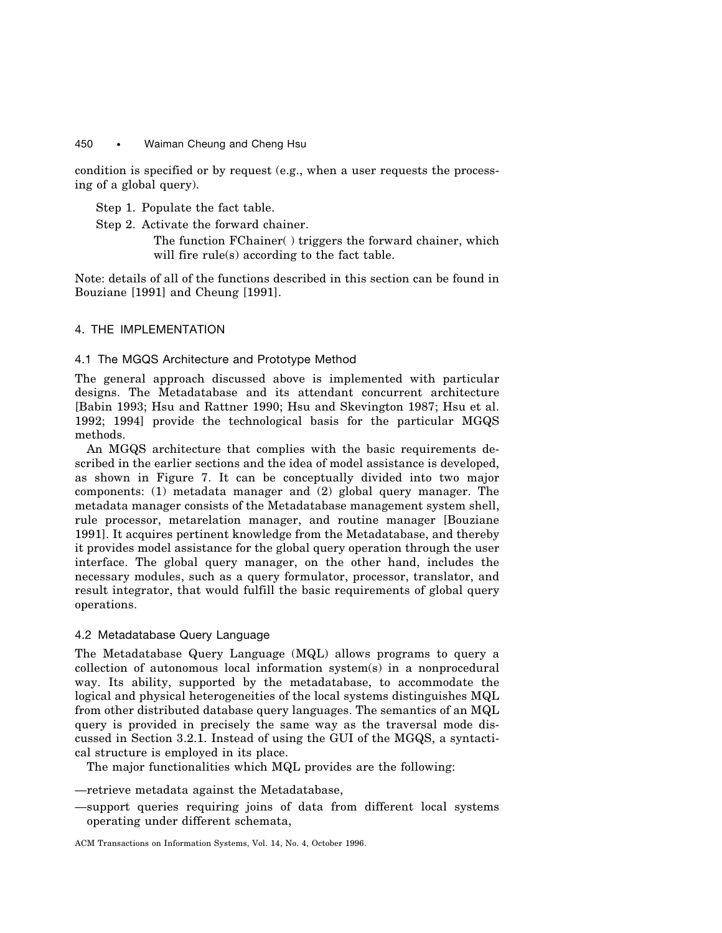condition is specified or by request (e.g., when a user requests the processing of a global query).

Step 1. Populate the fact table.

Step 2. Activate the forward chainer.

The function FChainer( ) triggers the forward chainer, which will fire rule(s) according to the fact table.

Note: details of all of the functions described in this section can be found in Bouziane [1991] and Cheung [1991].

## 4. THE IMPLEMENTATION

#### 4.1 The MGQS Architecture and Prototype Method

The general approach discussed above is implemented with particular designs. The Metadatabase and its attendant concurrent architecture [Babin 1993; Hsu and Rattner 1990; Hsu and Skevington 1987; Hsu et al. 1992; 1994] provide the technological basis for the particular MGQS methods.

An MGQS architecture that complies with the basic requirements described in the earlier sections and the idea of model assistance is developed, as shown in Figure 7. It can be conceptually divided into two major components: (1) metadata manager and (2) global query manager. The metadata manager consists of the Metadatabase management system shell, rule processor, metarelation manager, and routine manager [Bouziane 1991]. It acquires pertinent knowledge from the Metadatabase, and thereby it provides model assistance for the global query operation through the user interface. The global query manager, on the other hand, includes the necessary modules, such as a query formulator, processor, translator, and result integrator, that would fulfill the basic requirements of global query operations.

## 4.2 Metadatabase Query Language

The Metadatabase Query Language (MQL) allows programs to query a collection of autonomous local information system(s) in a nonprocedural way. Its ability, supported by the metadatabase, to accommodate the logical and physical heterogeneities of the local systems distinguishes MQL from other distributed database query languages. The semantics of an MQL query is provided in precisely the same way as the traversal mode discussed in Section 3.2.1. Instead of using the GUI of the MGQS, a syntactical structure is employed in its place.

The major functionalities which MQL provides are the following:

- —retrieve metadata against the Metadatabase,
- —support queries requiring joins of data from different local systems operating under different schemata,

ACM Transactions on Information Systems, Vol. 14, No. 4, October 1996.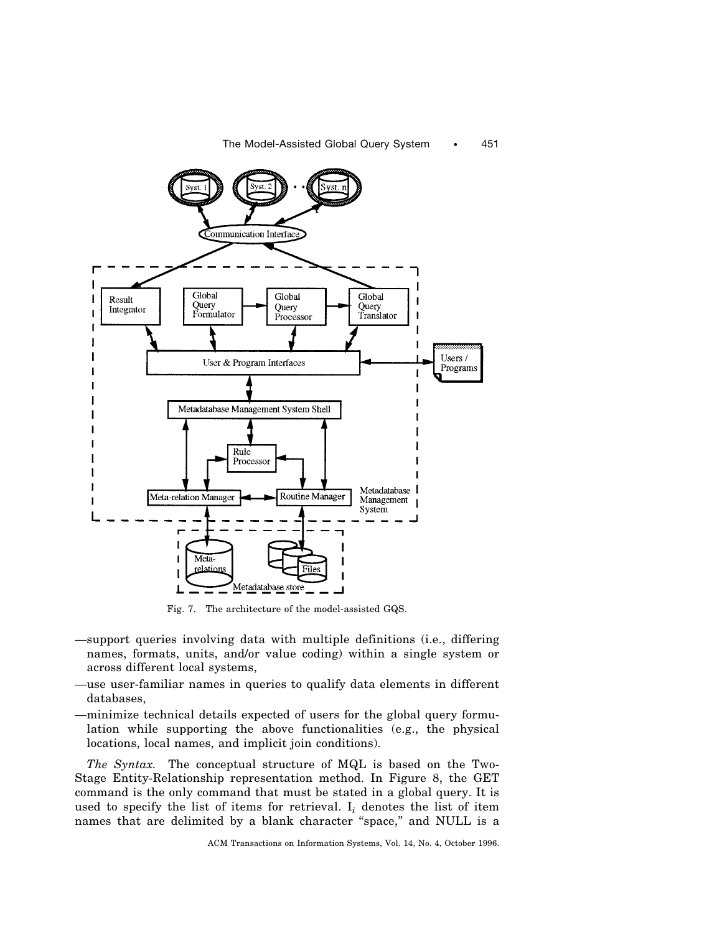

Fig. 7. The architecture of the model-assisted GQS.

- —support queries involving data with multiple definitions (i.e., differing names, formats, units, and/or value coding) within a single system or across different local systems,
- —use user-familiar names in queries to qualify data elements in different databases,
- —minimize technical details expected of users for the global query formulation while supporting the above functionalities (e.g., the physical locations, local names, and implicit join conditions).

*The Syntax.* The conceptual structure of MQL is based on the Two-Stage Entity-Relationship representation method. In Figure 8, the GET command is the only command that must be stated in a global query. It is used to specify the list of items for retrieval.  $I_i$  denotes the list of item names that are delimited by a blank character "space," and NULL is a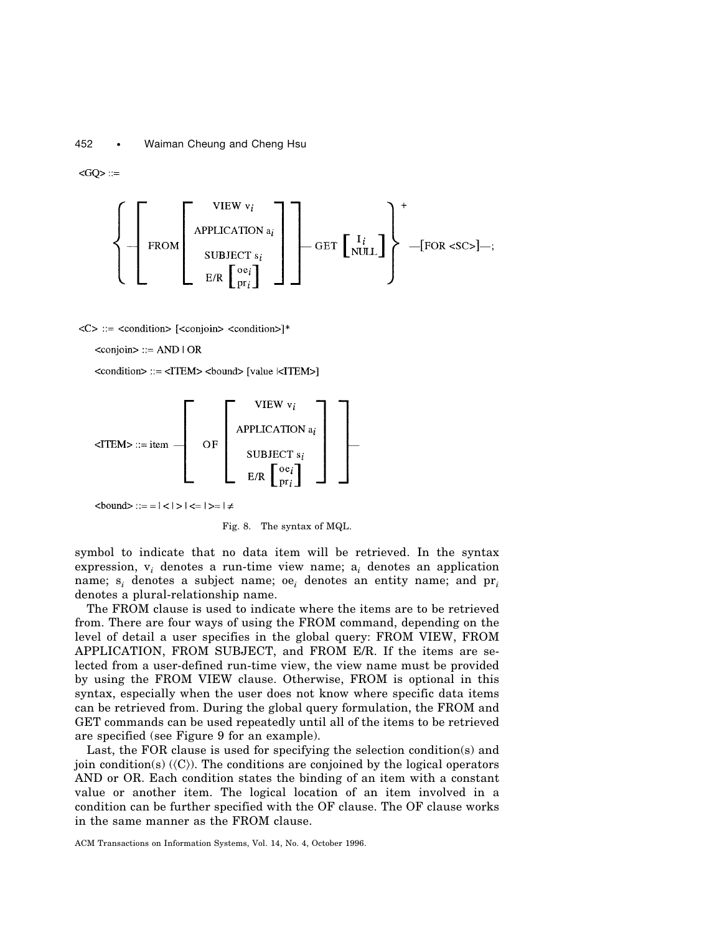$<$ GQ> ::=

 $\langle C \rangle ::= \langle condition \rangle$  [ $\langle conjoin \rangle \langle condition \rangle$ ]\*

 $\leq$ conjoin> ::= AND | OR



 $\text{} ::=$   $=$   $| <$   $| >$   $| <$   $=$   $| >$ 

Fig. 8. The syntax of MQL.

symbol to indicate that no data item will be retrieved. In the syntax expression, v*<sup>i</sup>* denotes a run-time view name; a*<sup>i</sup>* denotes an application name; s*<sup>i</sup>* denotes a subject name; oe*<sup>i</sup>* denotes an entity name; and pr*<sup>i</sup>* denotes a plural-relationship name.

The FROM clause is used to indicate where the items are to be retrieved from. There are four ways of using the FROM command, depending on the level of detail a user specifies in the global query: FROM VIEW, FROM APPLICATION, FROM SUBJECT, and FROM E/R. If the items are selected from a user-defined run-time view, the view name must be provided by using the FROM VIEW clause. Otherwise, FROM is optional in this syntax, especially when the user does not know where specific data items can be retrieved from. During the global query formulation, the FROM and GET commands can be used repeatedly until all of the items to be retrieved are specified (see Figure 9 for an example).

Last, the FOR clause is used for specifying the selection condition(s) and join condition(s)  $(\langle C \rangle)$ . The conditions are conjoined by the logical operators AND or OR. Each condition states the binding of an item with a constant value or another item. The logical location of an item involved in a condition can be further specified with the OF clause. The OF clause works in the same manner as the FROM clause.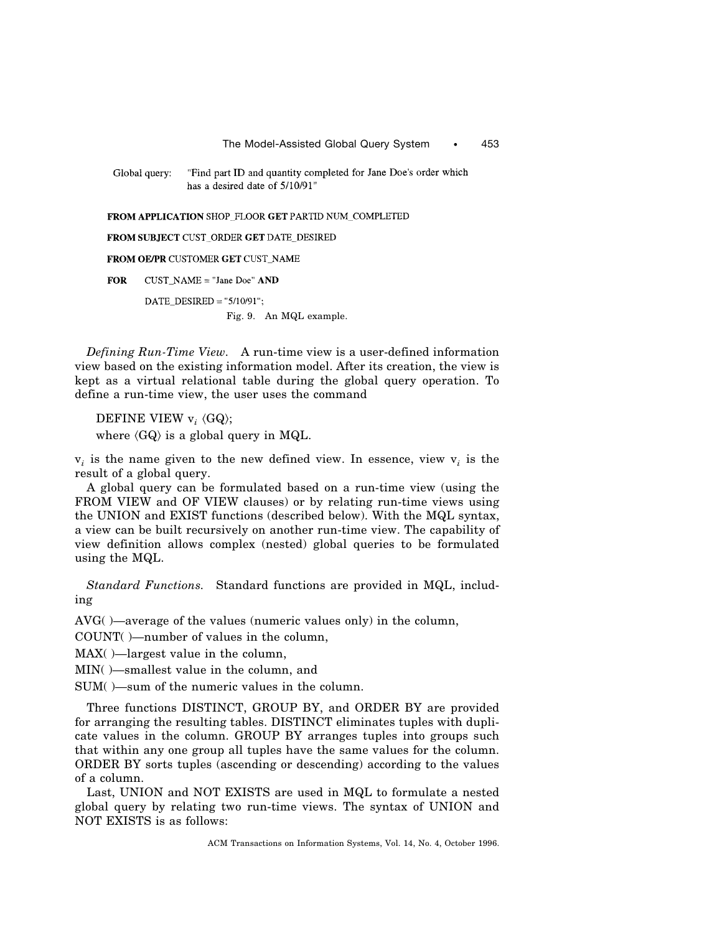"Find part ID and quantity completed for Jane Doe's order which Global query: has a desired date of 5/10/91"

FROM APPLICATION SHOP FLOOR GET PARTID NUM COMPLETED

FROM SUBJECT CUST\_ORDER GET DATE\_DESIRED

FROM OE/PR CUSTOMER GET CUST\_NAME

**FOR**  $CUST\_NAME = "Jane Doe" AND$ 

DATE\_DESIRED =  $"5/10/91"$ ;

Fig. 9. An MQL example.

*Defining Run-Time View.* A run-time view is a user-defined information view based on the existing information model. After its creation, the view is kept as a virtual relational table during the global query operation. To define a run-time view, the user uses the command

DEFINE VIEW v<sub>i</sub>  $\langle GQ \rangle$ ; where  $\langle GQ \rangle$  is a global query in MQL.

 $v_i$  is the name given to the new defined view. In essence, view  $v_i$  is the result of a global query.

A global query can be formulated based on a run-time view (using the FROM VIEW and OF VIEW clauses) or by relating run-time views using the UNION and EXIST functions (described below). With the MQL syntax, a view can be built recursively on another run-time view. The capability of view definition allows complex (nested) global queries to be formulated using the MQL.

*Standard Functions.* Standard functions are provided in MQL, including

AVG( )—average of the values (numeric values only) in the column,

COUNT( )—number of values in the column,

MAX( )—largest value in the column,

MIN( )—smallest value in the column, and

SUM( )—sum of the numeric values in the column.

Three functions DISTINCT, GROUP BY, and ORDER BY are provided for arranging the resulting tables. DISTINCT eliminates tuples with duplicate values in the column. GROUP BY arranges tuples into groups such that within any one group all tuples have the same values for the column. ORDER BY sorts tuples (ascending or descending) according to the values of a column.

Last, UNION and NOT EXISTS are used in MQL to formulate a nested global query by relating two run-time views. The syntax of UNION and NOT EXISTS is as follows: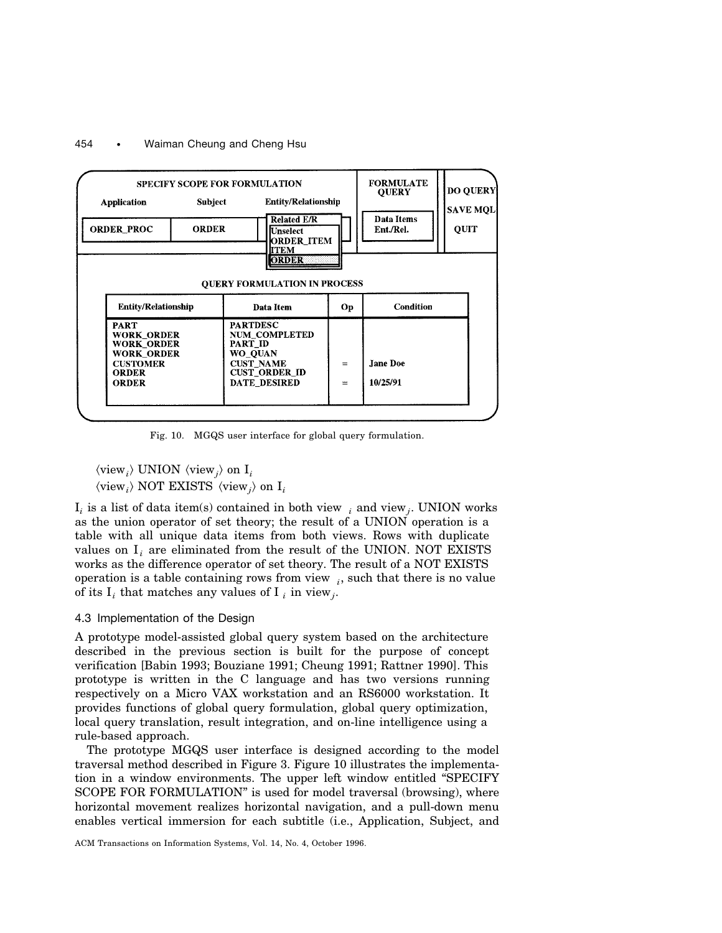

Fig. 10. MGQS user interface for global query formulation.

 $\langle view_i \rangle$  UNION  $\langle view_i \rangle$  on I<sub>i</sub>  $\langle$ view<sub>*i</sub>* $\rangle$  NOT EXISTS  $\langle$ view<sub>*j*</sub> $\rangle$ </sub> on I<sub>*i*</sub>

 $I_i$  is a list of data item(s) contained in both view  $i$  and view  $i$ . UNION works as the union operator of set theory; the result of a UNION operation is a table with all unique data items from both views. Rows with duplicate values on  $I_i$  are eliminated from the result of the UNION. NOT EXISTS works as the difference operator of set theory. The result of a NOT EXISTS operation is a table containing rows from view *<sup>i</sup>*, such that there is no value of its  $I_i$  that matches any values of  $I_i$  in view<sub>*j*</sub>.

## 4.3 Implementation of the Design

A prototype model-assisted global query system based on the architecture described in the previous section is built for the purpose of concept verification [Babin 1993; Bouziane 1991; Cheung 1991; Rattner 1990]. This prototype is written in the C language and has two versions running respectively on a Micro VAX workstation and an RS6000 workstation. It provides functions of global query formulation, global query optimization, local query translation, result integration, and on-line intelligence using a rule-based approach.

The prototype MGQS user interface is designed according to the model traversal method described in Figure 3. Figure 10 illustrates the implementation in a window environments. The upper left window entitled "SPECIFY SCOPE FOR FORMULATION" is used for model traversal (browsing), where horizontal movement realizes horizontal navigation, and a pull-down menu enables vertical immersion for each subtitle (i.e., Application, Subject, and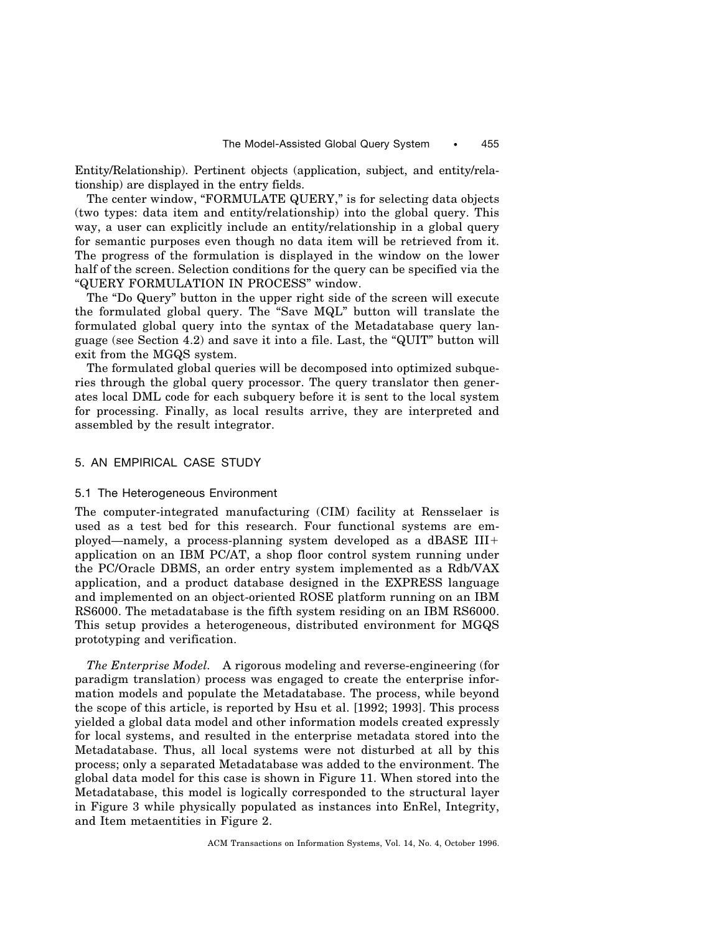Entity/Relationship). Pertinent objects (application, subject, and entity/relationship) are displayed in the entry fields.

The center window, "FORMULATE QUERY," is for selecting data objects (two types: data item and entity/relationship) into the global query. This way, a user can explicitly include an entity/relationship in a global query for semantic purposes even though no data item will be retrieved from it. The progress of the formulation is displayed in the window on the lower half of the screen. Selection conditions for the query can be specified via the "QUERY FORMULATION IN PROCESS" window.

The "Do Query" button in the upper right side of the screen will execute the formulated global query. The "Save MQL" button will translate the formulated global query into the syntax of the Metadatabase query language (see Section 4.2) and save it into a file. Last, the "QUIT" button will exit from the MGQS system.

The formulated global queries will be decomposed into optimized subqueries through the global query processor. The query translator then generates local DML code for each subquery before it is sent to the local system for processing. Finally, as local results arrive, they are interpreted and assembled by the result integrator.

#### 5. AN EMPIRICAL CASE STUDY

#### 5.1 The Heterogeneous Environment

The computer-integrated manufacturing (CIM) facility at Rensselaer is used as a test bed for this research. Four functional systems are employed—namely, a process-planning system developed as a dBASE  $III$ + application on an IBM PC/AT, a shop floor control system running under the PC/Oracle DBMS, an order entry system implemented as a Rdb/VAX application, and a product database designed in the EXPRESS language and implemented on an object-oriented ROSE platform running on an IBM RS6000. The metadatabase is the fifth system residing on an IBM RS6000. This setup provides a heterogeneous, distributed environment for MGQS prototyping and verification.

*The Enterprise Model.* A rigorous modeling and reverse-engineering (for paradigm translation) process was engaged to create the enterprise information models and populate the Metadatabase. The process, while beyond the scope of this article, is reported by Hsu et al. [1992; 1993]. This process yielded a global data model and other information models created expressly for local systems, and resulted in the enterprise metadata stored into the Metadatabase. Thus, all local systems were not disturbed at all by this process; only a separated Metadatabase was added to the environment. The global data model for this case is shown in Figure 11. When stored into the Metadatabase, this model is logically corresponded to the structural layer in Figure 3 while physically populated as instances into EnRel, Integrity, and Item metaentities in Figure 2.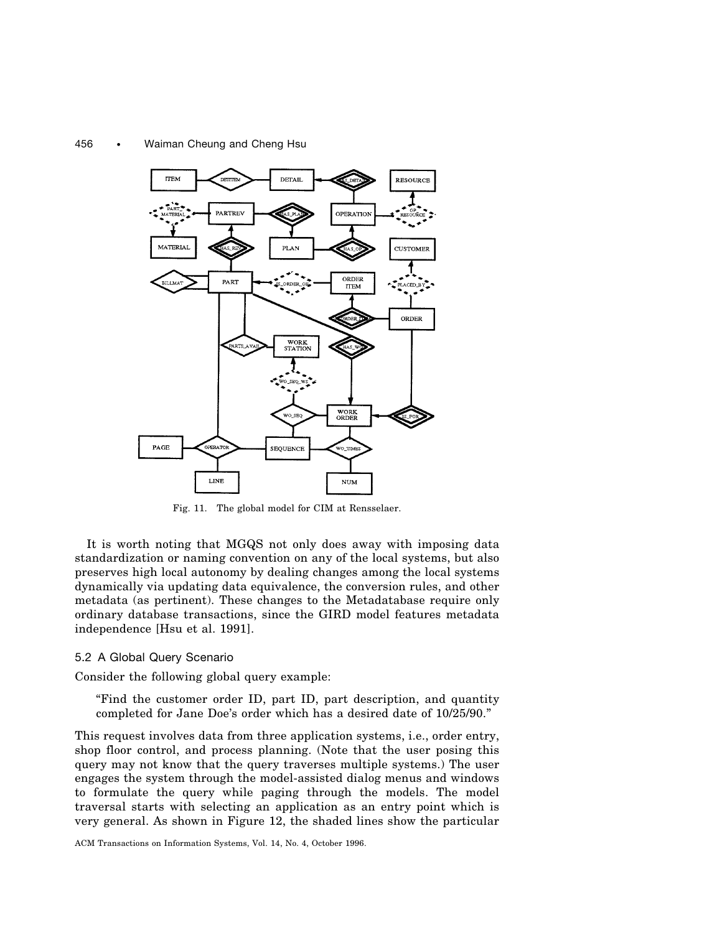

Fig. 11. The global model for CIM at Rensselaer.

It is worth noting that MGQS not only does away with imposing data standardization or naming convention on any of the local systems, but also preserves high local autonomy by dealing changes among the local systems dynamically via updating data equivalence, the conversion rules, and other metadata (as pertinent). These changes to the Metadatabase require only ordinary database transactions, since the GIRD model features metadata independence [Hsu et al. 1991].

## 5.2 A Global Query Scenario

Consider the following global query example:

"Find the customer order ID, part ID, part description, and quantity completed for Jane Doe's order which has a desired date of 10/25/90."

This request involves data from three application systems, i.e., order entry, shop floor control, and process planning. (Note that the user posing this query may not know that the query traverses multiple systems.) The user engages the system through the model-assisted dialog menus and windows to formulate the query while paging through the models. The model traversal starts with selecting an application as an entry point which is very general. As shown in Figure 12, the shaded lines show the particular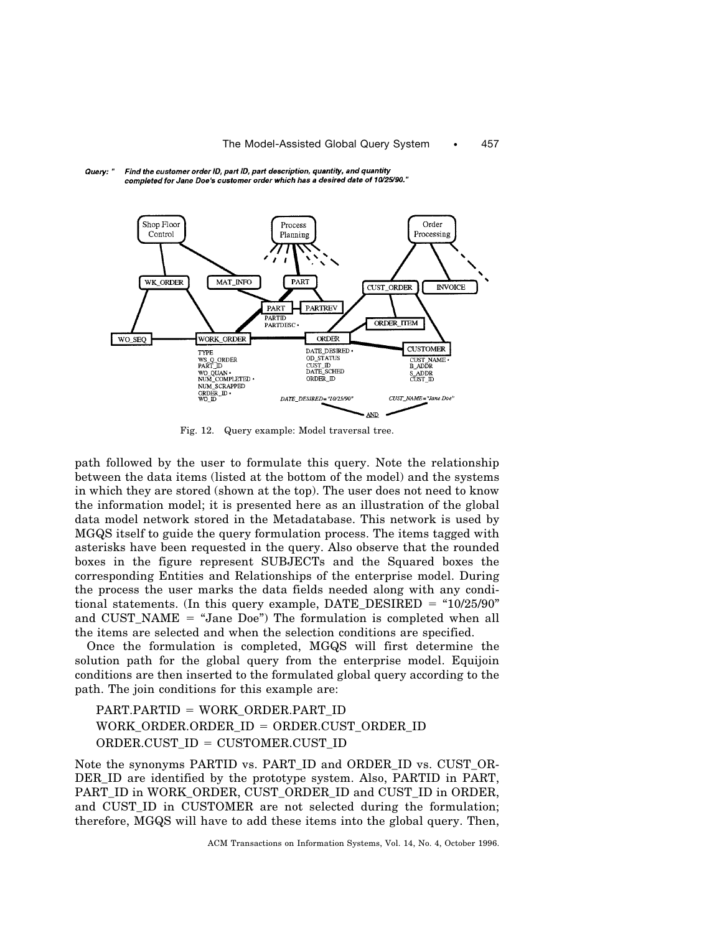

Querv:" Find the customer order ID, part ID, part description, quantity, and quantity completed for Jane Doe's customer order which has a desired date of 10/25/90."

Fig. 12. Query example: Model traversal tree.

path followed by the user to formulate this query. Note the relationship between the data items (listed at the bottom of the model) and the systems in which they are stored (shown at the top). The user does not need to know the information model; it is presented here as an illustration of the global data model network stored in the Metadatabase. This network is used by MGQS itself to guide the query formulation process. The items tagged with asterisks have been requested in the query. Also observe that the rounded boxes in the figure represent SUBJECTs and the Squared boxes the corresponding Entities and Relationships of the enterprise model. During the process the user marks the data fields needed along with any conditional statements. (In this query example, DATE DESIRED  $=$  "10/25/90" and CUST NAME  $=$  "Jane Doe") The formulation is completed when all the items are selected and when the selection conditions are specified.

Once the formulation is completed, MGQS will first determine the solution path for the global query from the enterprise model. Equijoin conditions are then inserted to the formulated global query according to the path. The join conditions for this example are:

## PART.PARTID = WORK\_ORDER.PART\_ID WORK ORDER.ORDER ID = ORDER.CUST ORDER ID  $ORDER.CUST\_ID = CUSTOMER.CUST\_ID$

Note the synonyms PARTID vs. PART\_ID and ORDER\_ID vs. CUST\_OR-DER\_ID are identified by the prototype system. Also, PARTID in PART, PART\_ID in WORK\_ORDER, CUST\_ORDER\_ID and CUST\_ID in ORDER, and CUST\_ID in CUSTOMER are not selected during the formulation; therefore, MGQS will have to add these items into the global query. Then,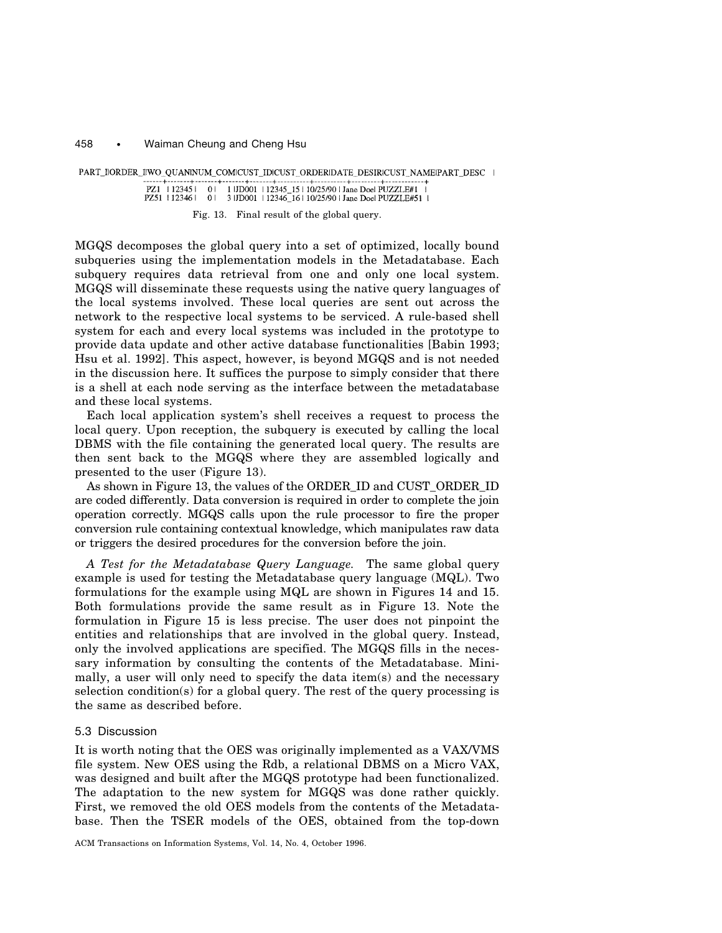PART\_IIORDER\_IIWO\_QUANINUM\_COMICUST\_IDICUST\_ORDERIDATE\_DESIRICUST\_NAMEIPART\_DESC |

PZ1 12345 0 1 UD001 12345 15 10/25/90 Jane Doel PUZZLE#1 PZ51 | 12346 | 0 | 3 | JD001 | 12346\_16 | 10/25/90 | Jane Doel PUZZLE#51 |

Fig. 13. Final result of the global query.

MGQS decomposes the global query into a set of optimized, locally bound subqueries using the implementation models in the Metadatabase. Each subquery requires data retrieval from one and only one local system. MGQS will disseminate these requests using the native query languages of the local systems involved. These local queries are sent out across the network to the respective local systems to be serviced. A rule-based shell system for each and every local systems was included in the prototype to provide data update and other active database functionalities [Babin 1993; Hsu et al. 1992]. This aspect, however, is beyond MGQS and is not needed in the discussion here. It suffices the purpose to simply consider that there is a shell at each node serving as the interface between the metadatabase and these local systems.

Each local application system's shell receives a request to process the local query. Upon reception, the subquery is executed by calling the local DBMS with the file containing the generated local query. The results are then sent back to the MGQS where they are assembled logically and presented to the user (Figure 13).

As shown in Figure 13, the values of the ORDER\_ID and CUST\_ORDER\_ID are coded differently. Data conversion is required in order to complete the join operation correctly. MGQS calls upon the rule processor to fire the proper conversion rule containing contextual knowledge, which manipulates raw data or triggers the desired procedures for the conversion before the join.

*A Test for the Metadatabase Query Language.* The same global query example is used for testing the Metadatabase query language (MQL). Two formulations for the example using MQL are shown in Figures 14 and 15. Both formulations provide the same result as in Figure 13. Note the formulation in Figure 15 is less precise. The user does not pinpoint the entities and relationships that are involved in the global query. Instead, only the involved applications are specified. The MGQS fills in the necessary information by consulting the contents of the Metadatabase. Minimally, a user will only need to specify the data item(s) and the necessary selection condition(s) for a global query. The rest of the query processing is the same as described before.

## 5.3 Discussion

It is worth noting that the OES was originally implemented as a VAX/VMS file system. New OES using the Rdb, a relational DBMS on a Micro VAX, was designed and built after the MGQS prototype had been functionalized. The adaptation to the new system for MGQS was done rather quickly. First, we removed the old OES models from the contents of the Metadatabase. Then the TSER models of the OES, obtained from the top-down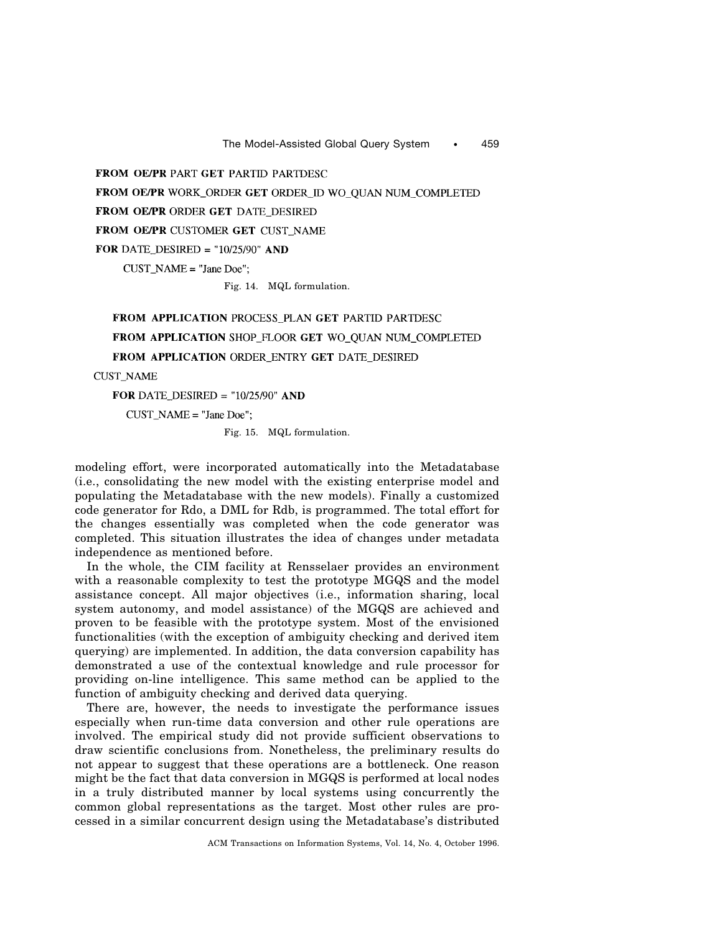FROM OE/PR PART GET PARTID PARTDESC

FROM OE/PR WORK\_ORDER GET ORDER ID WO OUAN NUM COMPLETED

```
FROM OE/PR ORDER GET DATE DESIRED
```
FROM OE/PR CUSTOMER GET CUST\_NAME

FOR DATE\_DESIRED =  $"10/25/90"$  AND

 $CUST\_NAME = "Jane Doe";$ 

Fig. 14. MQL formulation.

## FROM APPLICATION PROCESS PLAN GET PARTID PARTDESC FROM APPLICATION SHOP\_FLOOR GET WO\_QUAN NUM\_COMPLETED FROM APPLICATION ORDER\_ENTRY GET DATE\_DESIRED

**CUST\_NAME** 

FOR DATE\_DESIRED = " $10/25/90$ " AND

 $CUST\_NAME = "Jane Doe";$ 

Fig. 15. MQL formulation.

modeling effort, were incorporated automatically into the Metadatabase (i.e., consolidating the new model with the existing enterprise model and populating the Metadatabase with the new models). Finally a customized code generator for Rdo, a DML for Rdb, is programmed. The total effort for the changes essentially was completed when the code generator was completed. This situation illustrates the idea of changes under metadata independence as mentioned before.

In the whole, the CIM facility at Rensselaer provides an environment with a reasonable complexity to test the prototype MGQS and the model assistance concept. All major objectives (i.e., information sharing, local system autonomy, and model assistance) of the MGQS are achieved and proven to be feasible with the prototype system. Most of the envisioned functionalities (with the exception of ambiguity checking and derived item querying) are implemented. In addition, the data conversion capability has demonstrated a use of the contextual knowledge and rule processor for providing on-line intelligence. This same method can be applied to the function of ambiguity checking and derived data querying.

There are, however, the needs to investigate the performance issues especially when run-time data conversion and other rule operations are involved. The empirical study did not provide sufficient observations to draw scientific conclusions from. Nonetheless, the preliminary results do not appear to suggest that these operations are a bottleneck. One reason might be the fact that data conversion in MGQS is performed at local nodes in a truly distributed manner by local systems using concurrently the common global representations as the target. Most other rules are processed in a similar concurrent design using the Metadatabase's distributed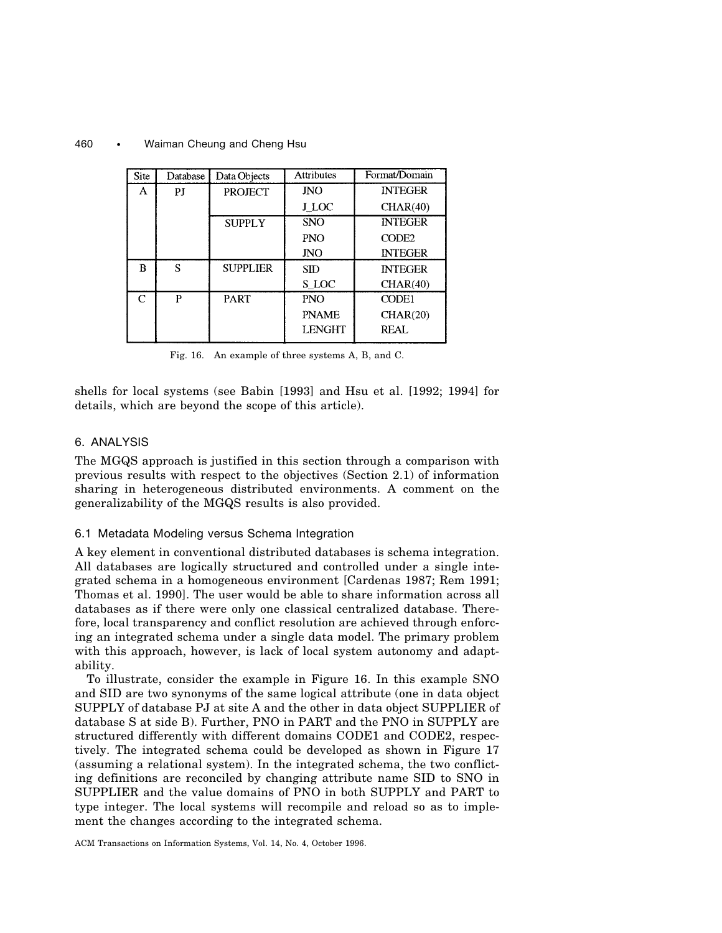| Site                        | Database | Data Objects    | <b>Attributes</b> | Format/Domain     |
|-----------------------------|----------|-----------------|-------------------|-------------------|
| A                           | РJ       | <b>PROJECT</b>  | <b>JNO</b>        | <b>INTEGER</b>    |
|                             |          |                 | J LOC             | CHAR(40)          |
|                             |          | <b>SUPPLY</b>   | <b>SNO</b>        | <b>INTEGER</b>    |
|                             |          |                 | <b>PNO</b>        | CODE <sub>2</sub> |
|                             |          |                 | <b>JNO</b>        | <b>INTEGER</b>    |
| в                           | S        | <b>SUPPLIER</b> | <b>SID</b>        | <b>INTEGER</b>    |
|                             |          |                 | S_LOC             | CHAR(40)          |
| $\mathcal{C}_{\mathcal{C}}$ | P        | <b>PART</b>     | <b>PNO</b>        | CODE1             |
|                             |          |                 | <b>PNAME</b>      | CHAR(20)          |
|                             |          |                 | <b>LENGHT</b>     | REAL              |
|                             |          |                 |                   |                   |

Fig. 16. An example of three systems A, B, and C.

shells for local systems (see Babin [1993] and Hsu et al. [1992; 1994] for details, which are beyond the scope of this article).

## 6. ANALYSIS

The MGQS approach is justified in this section through a comparison with previous results with respect to the objectives (Section 2.1) of information sharing in heterogeneous distributed environments. A comment on the generalizability of the MGQS results is also provided.

## 6.1 Metadata Modeling versus Schema Integration

A key element in conventional distributed databases is schema integration. All databases are logically structured and controlled under a single integrated schema in a homogeneous environment [Cardenas 1987; Rem 1991; Thomas et al. 1990]. The user would be able to share information across all databases as if there were only one classical centralized database. Therefore, local transparency and conflict resolution are achieved through enforcing an integrated schema under a single data model. The primary problem with this approach, however, is lack of local system autonomy and adaptability.

To illustrate, consider the example in Figure 16. In this example SNO and SID are two synonyms of the same logical attribute (one in data object SUPPLY of database PJ at site A and the other in data object SUPPLIER of database S at side B). Further, PNO in PART and the PNO in SUPPLY are structured differently with different domains CODE1 and CODE2, respectively. The integrated schema could be developed as shown in Figure 17 (assuming a relational system). In the integrated schema, the two conflicting definitions are reconciled by changing attribute name SID to SNO in SUPPLIER and the value domains of PNO in both SUPPLY and PART to type integer. The local systems will recompile and reload so as to implement the changes according to the integrated schema.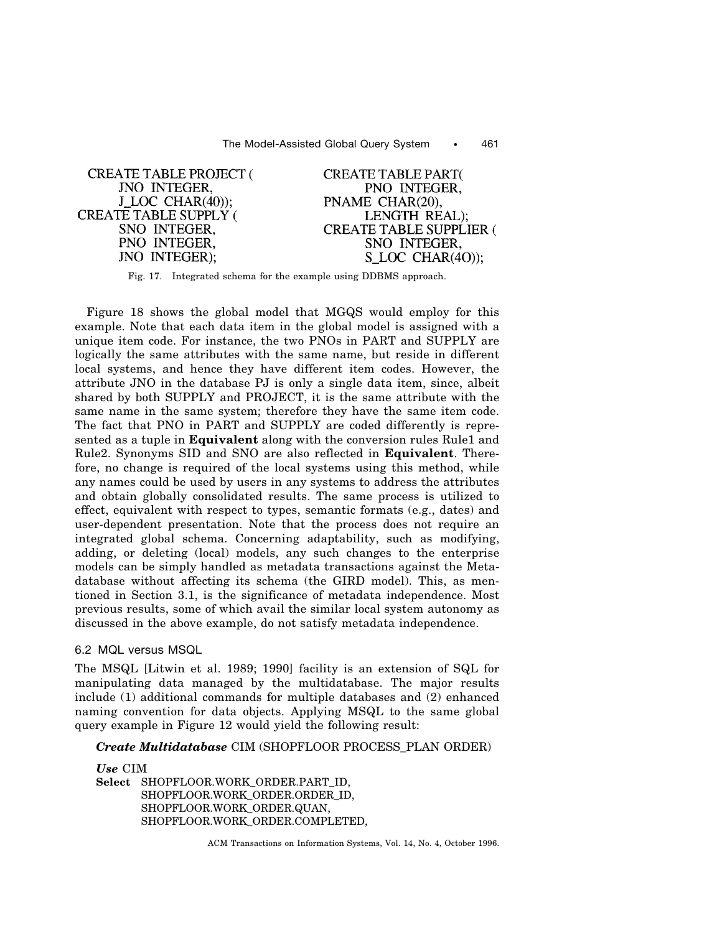| <b>CREATE TABLE PROJECT (</b> | <b>CREATE TABLE PART(</b>      |
|-------------------------------|--------------------------------|
| <b>JNO INTEGER,</b>           | PNO INTEGER,                   |
| $J$ LOC CHAR $(40)$ ;         | PNAME CHAR(20),                |
| <b>CREATE TABLE SUPPLY (</b>  | LENGTH REAL);                  |
| SNO INTEGER,                  | <b>CREATE TABLE SUPPLIER (</b> |
| PNO INTEGER,                  | SNO INTEGER,                   |
| <b>INO INTEGER);</b>          | $S\_LOC$ CHAR(4O));            |
|                               |                                |

Fig. 17. Integrated schema for the example using DDBMS approach.

Figure 18 shows the global model that MGQS would employ for this example. Note that each data item in the global model is assigned with a unique item code. For instance, the two PNOs in PART and SUPPLY are logically the same attributes with the same name, but reside in different local systems, and hence they have different item codes. However, the attribute JNO in the database PJ is only a single data item, since, albeit shared by both SUPPLY and PROJECT, it is the same attribute with the same name in the same system; therefore they have the same item code. The fact that PNO in PART and SUPPLY are coded differently is represented as a tuple in **Equivalent** along with the conversion rules Rule1 and Rule2. Synonyms SID and SNO are also reflected in **Equivalent**. Therefore, no change is required of the local systems using this method, while any names could be used by users in any systems to address the attributes and obtain globally consolidated results. The same process is utilized to effect, equivalent with respect to types, semantic formats (e.g., dates) and user-dependent presentation. Note that the process does not require an integrated global schema. Concerning adaptability, such as modifying, adding, or deleting (local) models, any such changes to the enterprise models can be simply handled as metadata transactions against the Metadatabase without affecting its schema (the GIRD model). This, as mentioned in Section 3.1, is the significance of metadata independence. Most previous results, some of which avail the similar local system autonomy as discussed in the above example, do not satisfy metadata independence.

#### 6.2 MQL versus MSQL

The MSQL [Litwin et al. 1989; 1990] facility is an extension of SQL for manipulating data managed by the multidatabase. The major results include (1) additional commands for multiple databases and (2) enhanced naming convention for data objects. Applying MSQL to the same global query example in Figure 12 would yield the following result:

#### *Create Multidatabase* CIM (SHOPFLOOR PROCESS\_PLAN ORDER)

*Use* CIM **Select** SHOPFLOOR.WORK\_ORDER.PART\_ID, SHOPFLOOR.WORK\_ORDER.ORDER\_ID, SHOPFLOOR.WORK\_ORDER.QUAN, SHOPFLOOR.WORK\_ORDER.COMPLETED,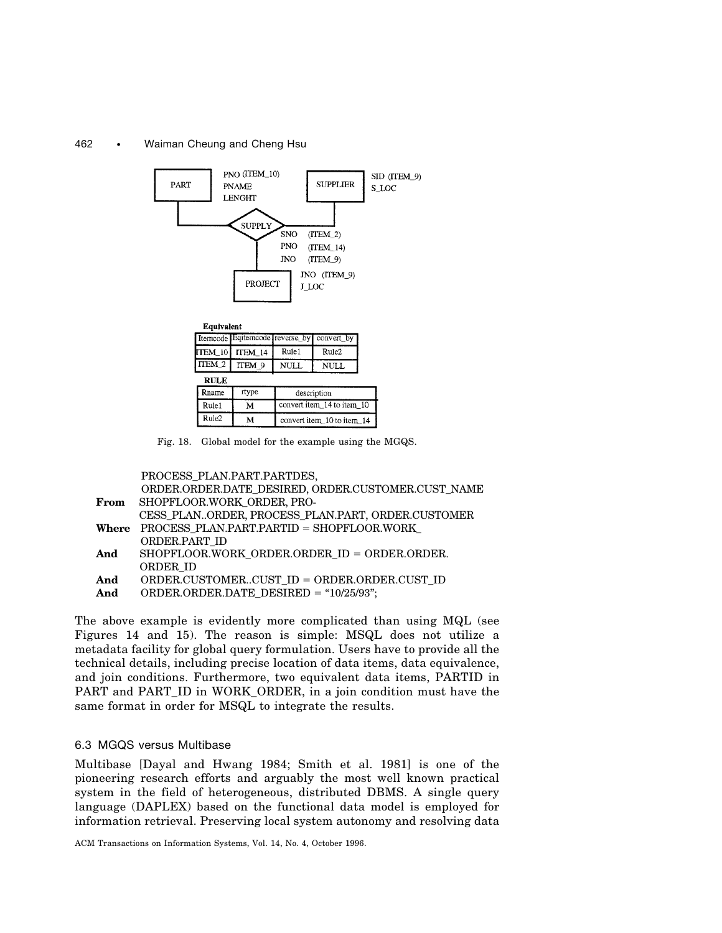

| Equivalent        |         |                            |                                           |
|-------------------|---------|----------------------------|-------------------------------------------|
|                   |         |                            | Itemcode Eqitemcode reverse by convert by |
| ITEM 10           | ITEM 14 | Rule1                      | Rule <sub>2</sub>                         |
| TTEM <sub>2</sub> | ITEM 9  | <b>NULL</b>                | NULL.                                     |
| <b>RULE</b>       |         |                            |                                           |
| Rname             | rtype   | description                |                                           |
| Rule1             | M       | convert item 14 to item 10 |                                           |
| Rule <sub>2</sub> | M       |                            | convert item 10 to item 14                |

Fig. 18. Global model for the example using the MGQS.

PROCESS\_PLAN.PART.PARTDES,

| ORDER.ORDER.DATE DESIRED, ORDER.CUSTOMER.CUST NAME |
|----------------------------------------------------|
|                                                    |
| CESS_PLANORDER, PROCESS_PLAN.PART, ORDER.CUSTOMER  |
|                                                    |
|                                                    |
| $SHOPFLOOR.WORK$ ORDER.ORDER $ID = ORDER.ORDER$ .  |
|                                                    |
|                                                    |
|                                                    |
| ORDER.CUSTOMERCUST_ID = ORDER.ORDER.CUST_ID        |

The above example is evidently more complicated than using MQL (see Figures 14 and 15). The reason is simple: MSQL does not utilize a metadata facility for global query formulation. Users have to provide all the technical details, including precise location of data items, data equivalence, and join conditions. Furthermore, two equivalent data items, PARTID in PART and PART\_ID in WORK\_ORDER, in a join condition must have the same format in order for MSQL to integrate the results.

## 6.3 MGQS versus Multibase

Multibase [Dayal and Hwang 1984; Smith et al. 1981] is one of the pioneering research efforts and arguably the most well known practical system in the field of heterogeneous, distributed DBMS. A single query language (DAPLEX) based on the functional data model is employed for information retrieval. Preserving local system autonomy and resolving data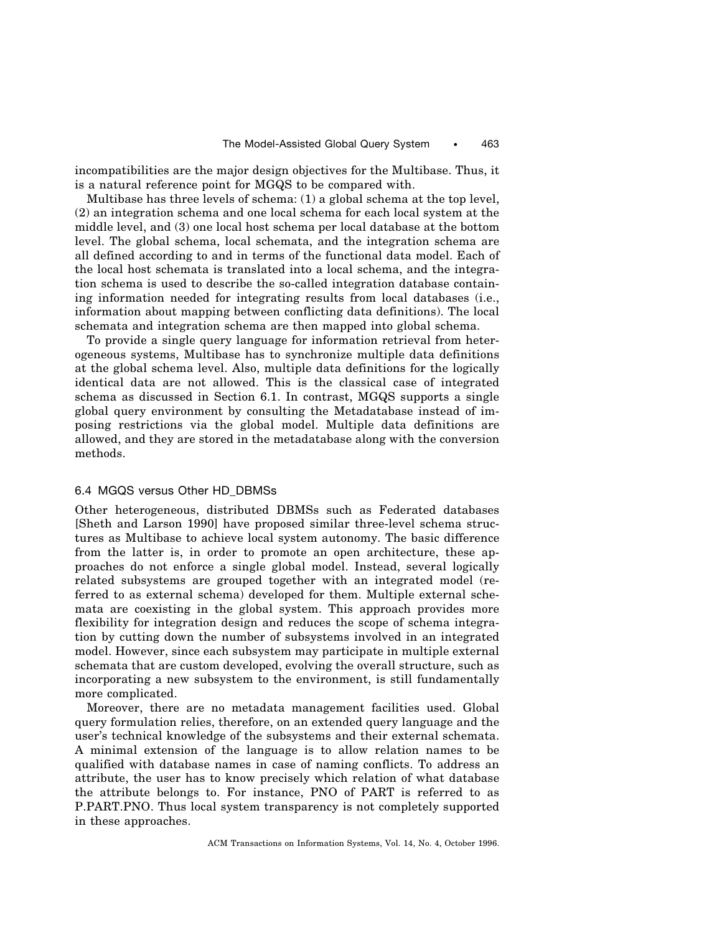incompatibilities are the major design objectives for the Multibase. Thus, it is a natural reference point for MGQS to be compared with.

Multibase has three levels of schema: (1) a global schema at the top level, (2) an integration schema and one local schema for each local system at the middle level, and (3) one local host schema per local database at the bottom level. The global schema, local schemata, and the integration schema are all defined according to and in terms of the functional data model. Each of the local host schemata is translated into a local schema, and the integration schema is used to describe the so-called integration database containing information needed for integrating results from local databases (i.e., information about mapping between conflicting data definitions). The local schemata and integration schema are then mapped into global schema.

To provide a single query language for information retrieval from heterogeneous systems, Multibase has to synchronize multiple data definitions at the global schema level. Also, multiple data definitions for the logically identical data are not allowed. This is the classical case of integrated schema as discussed in Section 6.1. In contrast, MGQS supports a single global query environment by consulting the Metadatabase instead of imposing restrictions via the global model. Multiple data definitions are allowed, and they are stored in the metadatabase along with the conversion methods.

#### 6.4 MGQS versus Other HD\_DBMSs

Other heterogeneous, distributed DBMSs such as Federated databases [Sheth and Larson 1990] have proposed similar three-level schema structures as Multibase to achieve local system autonomy. The basic difference from the latter is, in order to promote an open architecture, these approaches do not enforce a single global model. Instead, several logically related subsystems are grouped together with an integrated model (referred to as external schema) developed for them. Multiple external schemata are coexisting in the global system. This approach provides more flexibility for integration design and reduces the scope of schema integration by cutting down the number of subsystems involved in an integrated model. However, since each subsystem may participate in multiple external schemata that are custom developed, evolving the overall structure, such as incorporating a new subsystem to the environment, is still fundamentally more complicated.

Moreover, there are no metadata management facilities used. Global query formulation relies, therefore, on an extended query language and the user's technical knowledge of the subsystems and their external schemata. A minimal extension of the language is to allow relation names to be qualified with database names in case of naming conflicts. To address an attribute, the user has to know precisely which relation of what database the attribute belongs to. For instance, PNO of PART is referred to as P.PART.PNO. Thus local system transparency is not completely supported in these approaches.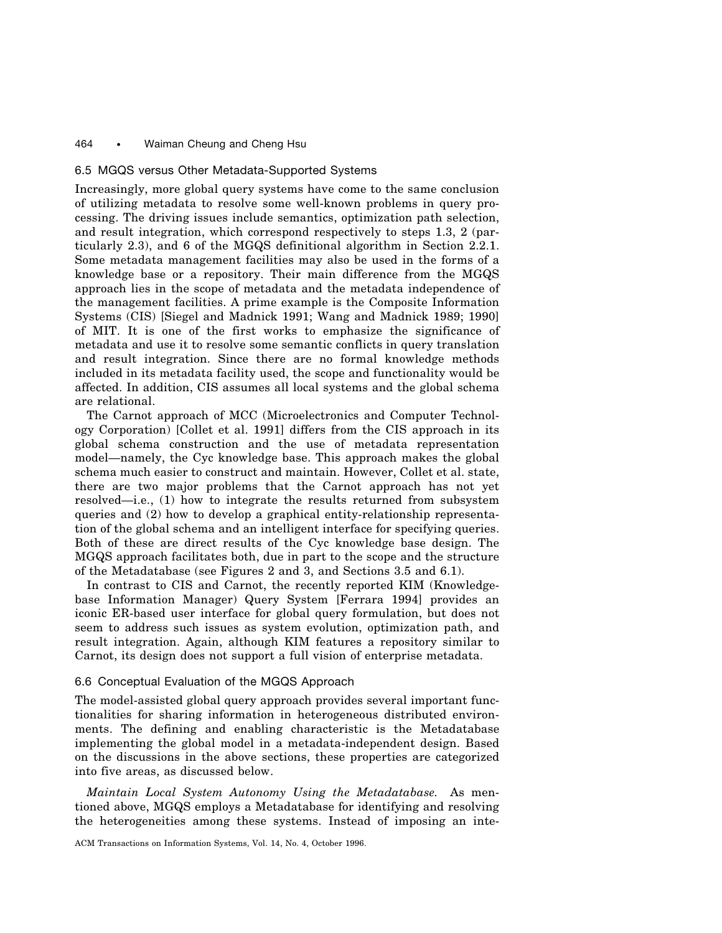#### 6.5 MGQS versus Other Metadata-Supported Systems

Increasingly, more global query systems have come to the same conclusion of utilizing metadata to resolve some well-known problems in query processing. The driving issues include semantics, optimization path selection, and result integration, which correspond respectively to steps 1.3, 2 (particularly 2.3), and 6 of the MGQS definitional algorithm in Section 2.2.1. Some metadata management facilities may also be used in the forms of a knowledge base or a repository. Their main difference from the MGQS approach lies in the scope of metadata and the metadata independence of the management facilities. A prime example is the Composite Information Systems (CIS) [Siegel and Madnick 1991; Wang and Madnick 1989; 1990] of MIT. It is one of the first works to emphasize the significance of metadata and use it to resolve some semantic conflicts in query translation and result integration. Since there are no formal knowledge methods included in its metadata facility used, the scope and functionality would be affected. In addition, CIS assumes all local systems and the global schema are relational.

The Carnot approach of MCC (Microelectronics and Computer Technology Corporation) [Collet et al. 1991] differs from the CIS approach in its global schema construction and the use of metadata representation model—namely, the Cyc knowledge base. This approach makes the global schema much easier to construct and maintain. However, Collet et al. state, there are two major problems that the Carnot approach has not yet resolved—i.e., (1) how to integrate the results returned from subsystem queries and (2) how to develop a graphical entity-relationship representation of the global schema and an intelligent interface for specifying queries. Both of these are direct results of the Cyc knowledge base design. The MGQS approach facilitates both, due in part to the scope and the structure of the Metadatabase (see Figures 2 and 3, and Sections 3.5 and 6.1).

In contrast to CIS and Carnot, the recently reported KIM (Knowledgebase Information Manager) Query System [Ferrara 1994] provides an iconic ER-based user interface for global query formulation, but does not seem to address such issues as system evolution, optimization path, and result integration. Again, although KIM features a repository similar to Carnot, its design does not support a full vision of enterprise metadata.

## 6.6 Conceptual Evaluation of the MGQS Approach

The model-assisted global query approach provides several important functionalities for sharing information in heterogeneous distributed environments. The defining and enabling characteristic is the Metadatabase implementing the global model in a metadata-independent design. Based on the discussions in the above sections, these properties are categorized into five areas, as discussed below.

*Maintain Local System Autonomy Using the Metadatabase.* As mentioned above, MGQS employs a Metadatabase for identifying and resolving the heterogeneities among these systems. Instead of imposing an inte-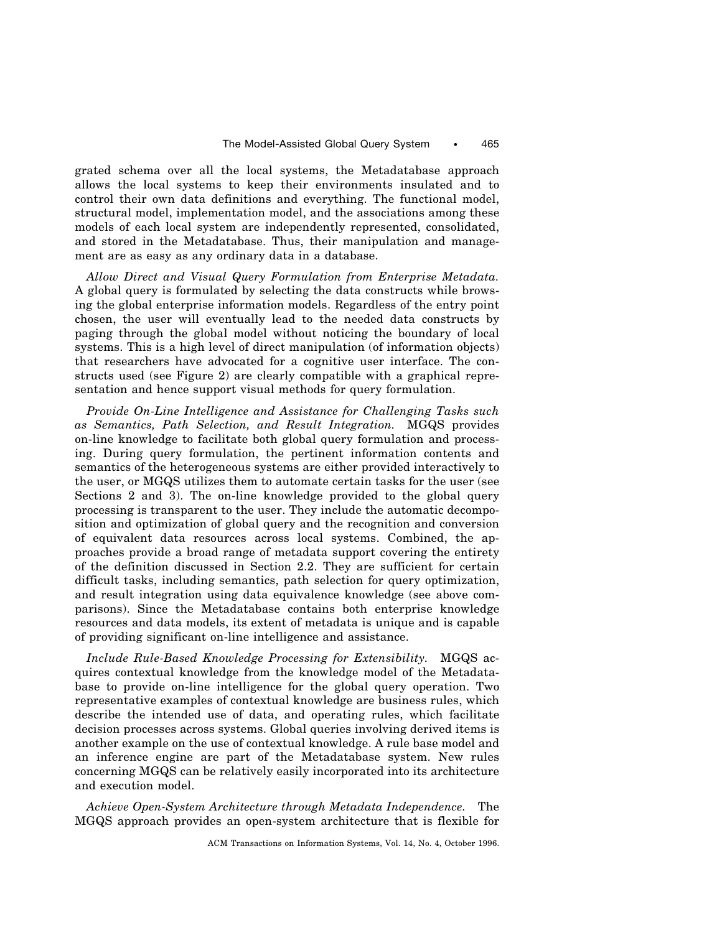grated schema over all the local systems, the Metadatabase approach allows the local systems to keep their environments insulated and to control their own data definitions and everything. The functional model, structural model, implementation model, and the associations among these models of each local system are independently represented, consolidated, and stored in the Metadatabase. Thus, their manipulation and management are as easy as any ordinary data in a database.

*Allow Direct and Visual Query Formulation from Enterprise Metadata.* A global query is formulated by selecting the data constructs while browsing the global enterprise information models. Regardless of the entry point chosen, the user will eventually lead to the needed data constructs by paging through the global model without noticing the boundary of local systems. This is a high level of direct manipulation (of information objects) that researchers have advocated for a cognitive user interface. The constructs used (see Figure 2) are clearly compatible with a graphical representation and hence support visual methods for query formulation.

*Provide On-Line Intelligence and Assistance for Challenging Tasks such as Semantics, Path Selection, and Result Integration.* MGQS provides on-line knowledge to facilitate both global query formulation and processing. During query formulation, the pertinent information contents and semantics of the heterogeneous systems are either provided interactively to the user, or MGQS utilizes them to automate certain tasks for the user (see Sections 2 and 3). The on-line knowledge provided to the global query processing is transparent to the user. They include the automatic decomposition and optimization of global query and the recognition and conversion of equivalent data resources across local systems. Combined, the approaches provide a broad range of metadata support covering the entirety of the definition discussed in Section 2.2. They are sufficient for certain difficult tasks, including semantics, path selection for query optimization, and result integration using data equivalence knowledge (see above comparisons). Since the Metadatabase contains both enterprise knowledge resources and data models, its extent of metadata is unique and is capable of providing significant on-line intelligence and assistance.

*Include Rule-Based Knowledge Processing for Extensibility.* MGQS acquires contextual knowledge from the knowledge model of the Metadatabase to provide on-line intelligence for the global query operation. Two representative examples of contextual knowledge are business rules, which describe the intended use of data, and operating rules, which facilitate decision processes across systems. Global queries involving derived items is another example on the use of contextual knowledge. A rule base model and an inference engine are part of the Metadatabase system. New rules concerning MGQS can be relatively easily incorporated into its architecture and execution model.

*Achieve Open-System Architecture through Metadata Independence.* The MGQS approach provides an open-system architecture that is flexible for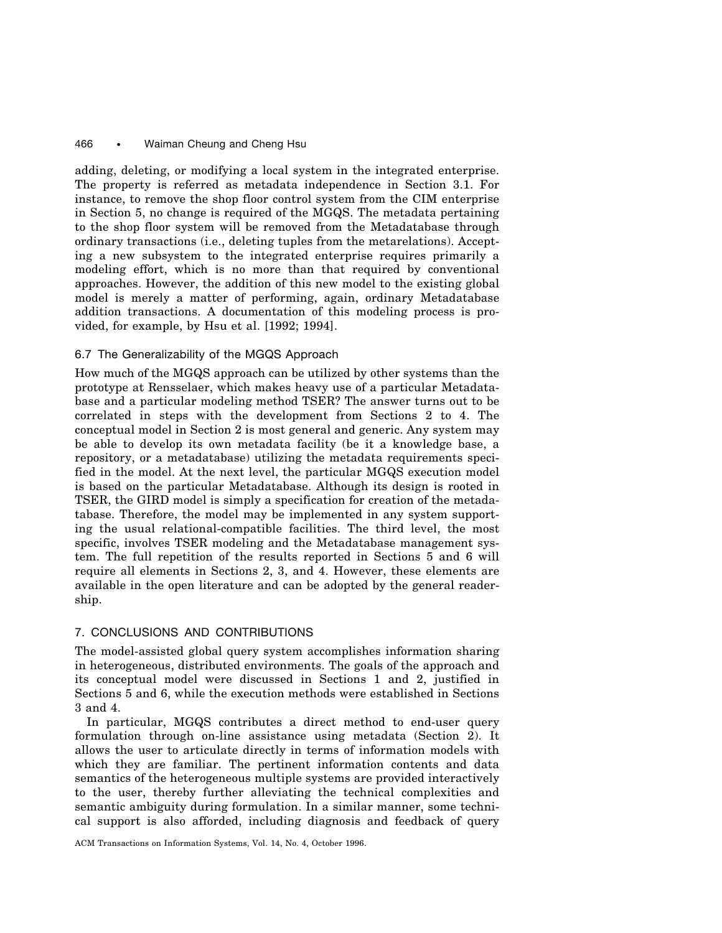adding, deleting, or modifying a local system in the integrated enterprise. The property is referred as metadata independence in Section 3.1. For instance, to remove the shop floor control system from the CIM enterprise in Section 5, no change is required of the MGQS. The metadata pertaining to the shop floor system will be removed from the Metadatabase through ordinary transactions (i.e., deleting tuples from the metarelations). Accepting a new subsystem to the integrated enterprise requires primarily a modeling effort, which is no more than that required by conventional approaches. However, the addition of this new model to the existing global model is merely a matter of performing, again, ordinary Metadatabase addition transactions. A documentation of this modeling process is provided, for example, by Hsu et al. [1992; 1994].

#### 6.7 The Generalizability of the MGQS Approach

How much of the MGQS approach can be utilized by other systems than the prototype at Rensselaer, which makes heavy use of a particular Metadatabase and a particular modeling method TSER? The answer turns out to be correlated in steps with the development from Sections 2 to 4. The conceptual model in Section 2 is most general and generic. Any system may be able to develop its own metadata facility (be it a knowledge base, a repository, or a metadatabase) utilizing the metadata requirements specified in the model. At the next level, the particular MGQS execution model is based on the particular Metadatabase. Although its design is rooted in TSER, the GIRD model is simply a specification for creation of the metadatabase. Therefore, the model may be implemented in any system supporting the usual relational-compatible facilities. The third level, the most specific, involves TSER modeling and the Metadatabase management system. The full repetition of the results reported in Sections 5 and 6 will require all elements in Sections 2, 3, and 4. However, these elements are available in the open literature and can be adopted by the general readership.

## 7. CONCLUSIONS AND CONTRIBUTIONS

The model-assisted global query system accomplishes information sharing in heterogeneous, distributed environments. The goals of the approach and its conceptual model were discussed in Sections 1 and 2, justified in Sections 5 and 6, while the execution methods were established in Sections 3 and 4.

In particular, MGQS contributes a direct method to end-user query formulation through on-line assistance using metadata (Section 2). It allows the user to articulate directly in terms of information models with which they are familiar. The pertinent information contents and data semantics of the heterogeneous multiple systems are provided interactively to the user, thereby further alleviating the technical complexities and semantic ambiguity during formulation. In a similar manner, some technical support is also afforded, including diagnosis and feedback of query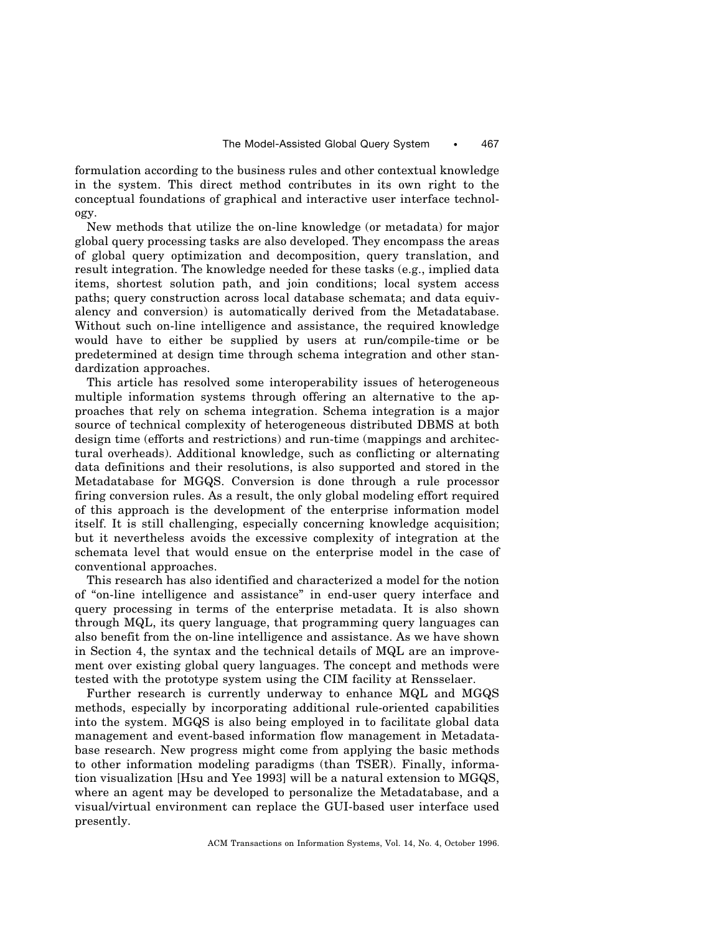formulation according to the business rules and other contextual knowledge in the system. This direct method contributes in its own right to the conceptual foundations of graphical and interactive user interface technology.

New methods that utilize the on-line knowledge (or metadata) for major global query processing tasks are also developed. They encompass the areas of global query optimization and decomposition, query translation, and result integration. The knowledge needed for these tasks (e.g., implied data items, shortest solution path, and join conditions; local system access paths; query construction across local database schemata; and data equivalency and conversion) is automatically derived from the Metadatabase. Without such on-line intelligence and assistance, the required knowledge would have to either be supplied by users at run/compile-time or be predetermined at design time through schema integration and other standardization approaches.

This article has resolved some interoperability issues of heterogeneous multiple information systems through offering an alternative to the approaches that rely on schema integration. Schema integration is a major source of technical complexity of heterogeneous distributed DBMS at both design time (efforts and restrictions) and run-time (mappings and architectural overheads). Additional knowledge, such as conflicting or alternating data definitions and their resolutions, is also supported and stored in the Metadatabase for MGQS. Conversion is done through a rule processor firing conversion rules. As a result, the only global modeling effort required of this approach is the development of the enterprise information model itself. It is still challenging, especially concerning knowledge acquisition; but it nevertheless avoids the excessive complexity of integration at the schemata level that would ensue on the enterprise model in the case of conventional approaches.

This research has also identified and characterized a model for the notion of "on-line intelligence and assistance" in end-user query interface and query processing in terms of the enterprise metadata. It is also shown through MQL, its query language, that programming query languages can also benefit from the on-line intelligence and assistance. As we have shown in Section 4, the syntax and the technical details of MQL are an improvement over existing global query languages. The concept and methods were tested with the prototype system using the CIM facility at Rensselaer.

Further research is currently underway to enhance MQL and MGQS methods, especially by incorporating additional rule-oriented capabilities into the system. MGQS is also being employed in to facilitate global data management and event-based information flow management in Metadatabase research. New progress might come from applying the basic methods to other information modeling paradigms (than TSER). Finally, information visualization [Hsu and Yee 1993] will be a natural extension to MGQS, where an agent may be developed to personalize the Metadatabase, and a visual/virtual environment can replace the GUI-based user interface used presently.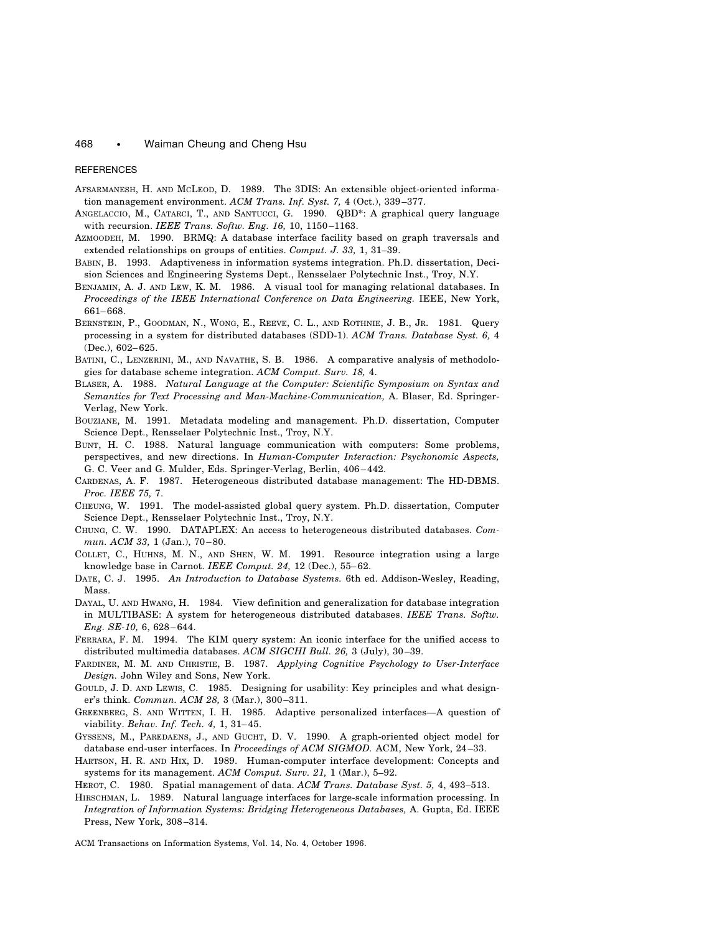**REFERENCES** 

- AFSARMANESH, H. AND MCLEOD, D. 1989. The 3DIS: An extensible object-oriented information management environment. *ACM Trans. Inf. Syst. 7,* 4 (Oct.), 339 –377.
- ANGELACCIO, M., CATARCI, T., AND SANTUCCI, G. 1990. QBD\*: A graphical query language with recursion. *IEEE Trans. Softw. Eng. 16,* 10, 1150 –1163.
- AZMOODEH, M. 1990. BRMQ: A database interface facility based on graph traversals and extended relationships on groups of entities. *Comput. J. 33,* 1, 31–39.
- BABIN, B. 1993. Adaptiveness in information systems integration. Ph.D. dissertation, Decision Sciences and Engineering Systems Dept., Rensselaer Polytechnic Inst., Troy, N.Y.
- BENJAMIN, A. J. AND LEW, K. M. 1986. A visual tool for managing relational databases. In *Proceedings of the IEEE International Conference on Data Engineering.* IEEE, New York, 661– 668.
- BERNSTEIN, P., GOODMAN, N., WONG, E., REEVE, C. L., AND ROTHNIE, J. B., JR. 1981. Query processing in a system for distributed databases (SDD-1). *ACM Trans. Database Syst. 6,* 4 (Dec.), 602-625.
- BATINI, C., LENZERINI, M., AND NAVATHE, S. B. 1986. A comparative analysis of methodologies for database scheme integration. *ACM Comput. Surv. 18,* 4.
- BLASER, A. 1988. *Natural Language at the Computer: Scientific Symposium on Syntax and Semantics for Text Processing and Man-Machine-Communication,* A. Blaser, Ed. Springer-Verlag, New York.
- BOUZIANE, M. 1991. Metadata modeling and management. Ph.D. dissertation, Computer Science Dept., Rensselaer Polytechnic Inst., Troy, N.Y.
- BUNT, H. C. 1988. Natural language communication with computers: Some problems, perspectives, and new directions. In *Human-Computer Interaction: Psychonomic Aspects,* G. C. Veer and G. Mulder, Eds. Springer-Verlag, Berlin, 406 – 442.
- CARDENAS, A. F. 1987. Heterogeneous distributed database management: The HD-DBMS. *Proc. IEEE 75,* 7.
- CHEUNG, W. 1991. The model-assisted global query system. Ph.D. dissertation, Computer Science Dept., Rensselaer Polytechnic Inst., Troy, N.Y.
- CHUNG, C. W. 1990. DATAPLEX: An access to heterogeneous distributed databases. *Commun. ACM 33,* 1 (Jan.), 70 – 80.
- COLLET, C., HUHNS, M. N., AND SHEN, W. M. 1991. Resource integration using a large knowledge base in Carnot. *IEEE Comput. 24,* 12 (Dec.), 55– 62.
- DATE, C. J. 1995. *An Introduction to Database Systems.* 6th ed. Addison-Wesley, Reading, Mass.
- DAYAL, U. AND HWANG, H. 1984. View definition and generalization for database integration in MULTIBASE: A system for heterogeneous distributed databases. *IEEE Trans. Softw. Eng. SE-10,* 6, 628 – 644.
- FERRARA, F. M. 1994. The KIM query system: An iconic interface for the unified access to distributed multimedia databases. *ACM SIGCHI Bull. 26,* 3 (July), 30 –39.
- FARDINER, M. M. AND CHRISTIE, B. 1987. *Applying Cognitive Psychology to User-Interface Design.* John Wiley and Sons, New York.
- GOULD, J. D. AND LEWIS, C. 1985. Designing for usability: Key principles and what designer's think. *Commun. ACM 28,* 3 (Mar.), 300 –311.
- GREENBERG, S. AND WITTEN, I. H. 1985. Adaptive personalized interfaces—A question of viability. *Behav. Inf. Tech. 4,* 1, 31– 45.
- GYSSENS, M., PAREDAENS, J., AND GUCHT, D. V. 1990. A graph-oriented object model for database end-user interfaces. In *Proceedings of ACM SIGMOD.* ACM, New York, 24 –33.
- HARTSON, H. R. AND HIX, D. 1989. Human-computer interface development: Concepts and systems for its management. *ACM Comput. Surv. 21,* 1 (Mar.), 5–92.

HEROT, C. 1980. Spatial management of data. *ACM Trans. Database Syst. 5,* 4, 493–513.

HIRSCHMAN, L. 1989. Natural language interfaces for large-scale information processing. In *Integration of Information Systems: Bridging Heterogeneous Databases,* A. Gupta, Ed. IEEE Press, New York, 308 –314.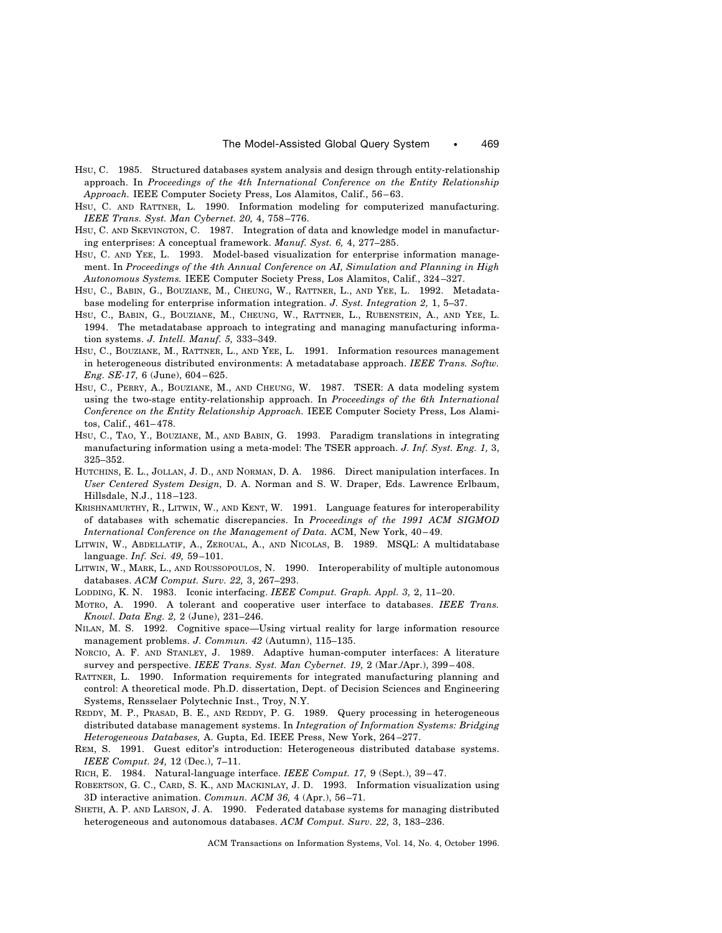- HSU, C. 1985. Structured databases system analysis and design through entity-relationship approach. In *Proceedings of the 4th International Conference on the Entity Relationship Approach.* IEEE Computer Society Press, Los Alamitos, Calif., 56 – 63.
- HSU, C. AND RATTNER, L. 1990. Information modeling for computerized manufacturing. *IEEE Trans. Syst. Man Cybernet. 20,* 4, 758 –776.
- HSU, C. AND SKEVINGTON, C. 1987. Integration of data and knowledge model in manufacturing enterprises: A conceptual framework. *Manuf. Syst. 6,* 4, 277–285.
- HSU, C. AND YEE, L. 1993. Model-based visualization for enterprise information management. In *Proceedings of the 4th Annual Conference on AI, Simulation and Planning in High Autonomous Systems.* IEEE Computer Society Press, Los Alamitos, Calif., 324 –327.
- HSU, C., BABIN, G., BOUZIANE, M., CHEUNG, W., RATTNER, L., AND YEE, L. 1992. Metadatabase modeling for enterprise information integration. *J. Syst. Integration 2,* 1, 5–37.
- HSU, C., BABIN, G., BOUZIANE, M., CHEUNG, W., RATTNER, L., RUBENSTEIN, A., AND YEE, L. 1994. The metadatabase approach to integrating and managing manufacturing information systems. *J. Intell. Manuf. 5,* 333–349.
- HSU, C., BOUZIANE, M., RATTNER, L., AND YEE, L. 1991. Information resources management in heterogeneous distributed environments: A metadatabase approach. *IEEE Trans. Softw. Eng. SE-17,* 6 (June), 604 – 625.
- HSU, C., PERRY, A., BOUZIANE, M., AND CHEUNG, W. 1987. TSER: A data modeling system using the two-stage entity-relationship approach. In *Proceedings of the 6th International Conference on the Entity Relationship Approach.* IEEE Computer Society Press, Los Alamitos, Calif., 461– 478.
- HSU, C., TAO, Y., BOUZIANE, M., AND BABIN, G. 1993. Paradigm translations in integrating manufacturing information using a meta-model: The TSER approach. *J. Inf. Syst. Eng. 1,* 3, 325–352.
- HUTCHINS, E. L., JOLLAN, J. D., AND NORMAN, D. A. 1986. Direct manipulation interfaces. In *User Centered System Design,* D. A. Norman and S. W. Draper, Eds. Lawrence Erlbaum, Hillsdale, N.J., 118 –123.
- KRISHNAMURTHY, R., LITWIN, W., AND KENT, W. 1991. Language features for interoperability of databases with schematic discrepancies. In *Proceedings of the 1991 ACM SIGMOD International Conference on the Management of Data.* ACM, New York,  $40-49$ .
- LITWIN, W., ABDELLATIF, A., ZEROUAL, A., AND NICOLAS, B. 1989. MSQL: A multidatabase language. *Inf. Sci. 49,* 59 –101.
- LITWIN, W., MARK, L., AND ROUSSOPOULOS, N. 1990. Interoperability of multiple autonomous databases. *ACM Comput. Surv. 22,* 3, 267–293.
- LODDING, K. N. 1983. Iconic interfacing. *IEEE Comput. Graph. Appl. 3,* 2, 11–20.
- MOTRO, A. 1990. A tolerant and cooperative user interface to databases. *IEEE Trans. Knowl. Data Eng. 2,* 2 (June), 231–246.
- NILAN, M. S. 1992. Cognitive space—Using virtual reality for large information resource management problems. *J. Commun. 42* (Autumn), 115–135.
- NORCIO, A. F. AND STANLEY, J. 1989. Adaptive human-computer interfaces: A literature survey and perspective. *IEEE Trans. Syst. Man Cybernet. 19,* 2 (Mar./Apr.), 399 – 408.
- RATTNER, L. 1990. Information requirements for integrated manufacturing planning and control: A theoretical mode. Ph.D. dissertation, Dept. of Decision Sciences and Engineering Systems, Rensselaer Polytechnic Inst., Troy, N.Y.
- REDDY, M. P., PRASAD, B. E., AND REDDY, P. G. 1989. Query processing in heterogeneous distributed database management systems. In *Integration of Information Systems: Bridging Heterogeneous Databases,* A. Gupta, Ed. IEEE Press, New York, 264 –277.
- REM, S. 1991. Guest editor's introduction: Heterogeneous distributed database systems. *IEEE Comput. 24,* 12 (Dec.), 7–11.

RICH, E. 1984. Natural-language interface. *IEEE Comput. 17,* 9 (Sept.), 39 – 47.

- ROBERTSON, G. C., CARD, S. K., AND MACKINLAY, J. D. 1993. Information visualization using 3D interactive animation. *Commun. ACM 36,* 4 (Apr.), 56 –71.
- SHETH, A. P. AND LARSON, J. A. 1990. Federated database systems for managing distributed heterogeneous and autonomous databases. *ACM Comput. Surv. 22,* 3, 183–236.